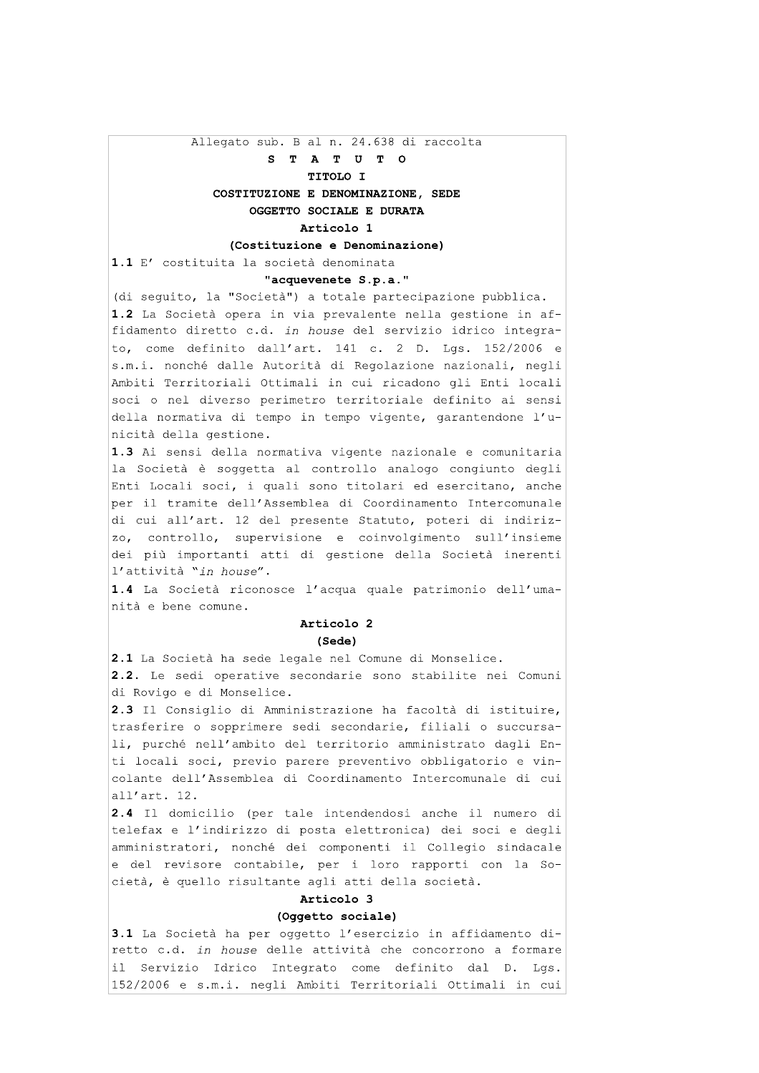Allegato sub. B al n. 24.638 di raccolta

# S T A T U T O

# TITOLO I

# COSTITUZIONE E DENOMINAZIONE, SEDE OGGETTO SOCIALE E DURATA

# Articolo 1

#### (Costituzione e Denominazione)

1.1 E' costituita la società denominata

#### "acquevenete S.p.a."

(di sequito, la "Società") a totale partecipazione pubblica. 1.2 La Società opera in via prevalente nella gestione in affidamento diretto c.d. in house del servizio idrico integrato, come definito dall'art. 141 c. 2 D. Lgs. 152/2006 e s.m.i. nonché dalle Autorità di Regolazione nazionali, negli Ambiti Territoriali Ottimali in cui ricadono gli Enti locali soci o nel diverso perimetro territoriale definito ai sensi della normativa di tempo in tempo vigente, garantendone l'unicità della gestione.

1.3 Ai sensi della normativa vigente nazionale e comunitaria la Società è soggetta al controllo analogo congiunto degli Enti Locali soci, i quali sono titolari ed esercitano, anche per il tramite dell'Assemblea di Coordinamento Intercomunale di cui all'art. 12 del presente Statuto, poteri di indirizzo, controllo, supervisione e coinvolgimento sull'insieme dei più importanti atti di gestione della Società inerenti l'attività "in house".

1.4 La Società riconosce l'acqua quale patrimonio dell'umanità e bene comune.

# Articolo 2

#### $(Sede)$

2.1 La Società ha sede legale nel Comune di Monselice. 2.2. Le sedi operative secondarie sono stabilite nei Comuni di Rovigo e di Monselice.

2.3 Il Consiglio di Amministrazione ha facoltà di istituire, trasferire o sopprimere sedi secondarie, filiali o succursali, purché nell'ambito del territorio amministrato dagli Enti locali soci, previo parere preventivo obbligatorio e vincolante dell'Assemblea di Coordinamento Intercomunale di cui all'art. 12.

2.4 Il domicilio (per tale intendendosi anche il numero di telefax e l'indirizzo di posta elettronica) dei soci e degli amministratori, nonché dei componenti il Collegio sindacale e del revisore contabile, per i loro rapporti con la Società, è quello risultante agli atti della società.

#### Articolo 3

#### (Oqqetto sociale)

3.1 La Società ha per oggetto l'esercizio in affidamento diretto c.d. in house delle attività che concorrono a formare il Servizio Idrico Integrato come definito dal D. Lgs. 152/2006 e s.m.i. negli Ambiti Territoriali Ottimali in cui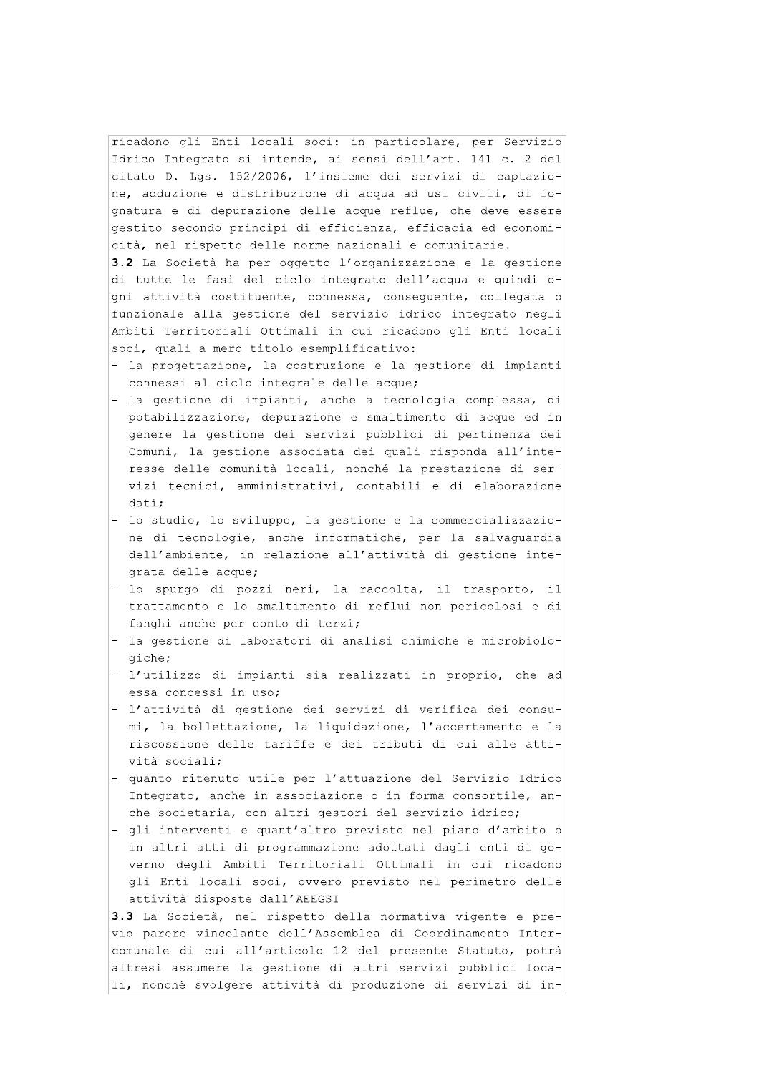ricadono gli Enti locali soci: in particolare, per Servizio Idrico Integrato si intende, ai sensi dell'art. 141 c. 2 del citato D. Lgs. 152/2006, l'insieme dei servizi di captazione, adduzione e distribuzione di acqua ad usi civili, di fognatura e di depurazione delle acque reflue, che deve essere gestito secondo principi di efficienza, efficacia ed economicità, nel rispetto delle norme nazionali e comunitarie.

3.2 La Società ha per oggetto l'organizzazione e la gestione di tutte le fasi del ciclo integrato dell'acqua e quindi oqni attività costituente, connessa, consequente, collegata o funzionale alla gestione del servizio idrico integrato negli Ambiti Territoriali Ottimali in cui ricadono gli Enti locali soci, quali a mero titolo esemplificativo:

- la progettazione, la costruzione e la gestione di impianti connessi al ciclo integrale delle acque;
- la gestione di impianti, anche a tecnologia complessa, di potabilizzazione, depurazione e smaltimento di acque ed in genere la gestione dei servizi pubblici di pertinenza dei Comuni, la gestione associata dei quali risponda all'interesse delle comunità locali, nonché la prestazione di servizi tecnici, amministrativi, contabili e di elaborazione dati:
- lo studio, lo sviluppo, la gestione e la commercializzazione di tecnologie, anche informatiche, per la salvaguardia dell'ambiente, in relazione all'attività di gestione integrata delle acque;
- lo spurgo di pozzi neri, la raccolta, il trasporto, il trattamento e lo smaltimento di reflui non pericolosi e di fanghi anche per conto di terzi;
- la gestione di laboratori di analisi chimiche e microbiologiche;
- l'utilizzo di impianti sia realizzati in proprio, che ad essa concessi in uso;
- l'attività di gestione dei servizi di verifica dei consumi, la bollettazione, la liquidazione, l'accertamento e la riscossione delle tariffe e dei tributi di cui alle attività sociali;
- quanto ritenuto utile per l'attuazione del Servizio Idrico Integrato, anche in associazione o in forma consortile, anche societaria, con altri gestori del servizio idrico;
- gli interventi e quant'altro previsto nel piano d'ambito o in altri atti di programmazione adottati dagli enti di governo degli Ambiti Territoriali Ottimali in cui ricadono gli Enti locali soci, ovvero previsto nel perimetro delle attività disposte dall'AEEGSI

3.3 La Società, nel rispetto della normativa vigente e previo parere vincolante dell'Assemblea di Coordinamento Intercomunale di cui all'articolo 12 del presente Statuto, potrà altresì assumere la gestione di altri servizi pubblici locali, nonché svolgere attività di produzione di servizi di in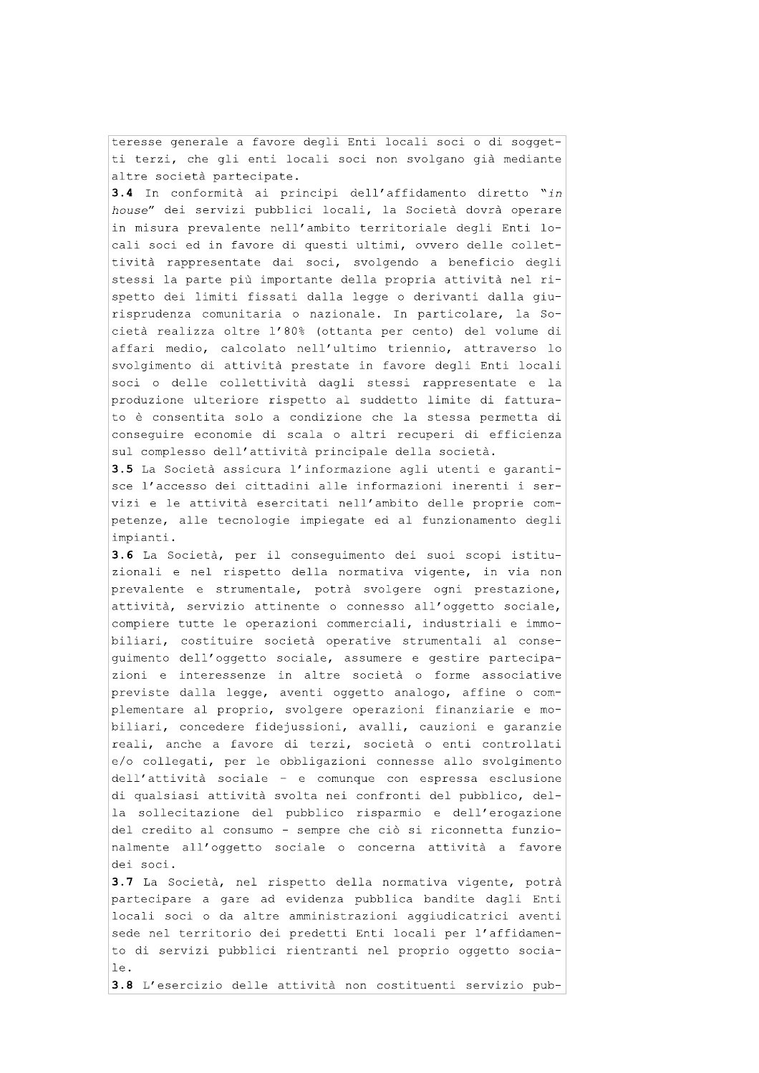teresse generale a favore degli Enti locali soci o di soggetti terzi, che gli enti locali soci non svolgano già mediante altre società partecipate.

3.4 In conformità ai principi dell'affidamento diretto "in house" dei servizi pubblici locali, la Società dovrà operare in misura prevalente nell'ambito territoriale degli Enti locali soci ed in favore di questi ultimi, ovvero delle collettività rappresentate dai soci, svolgendo a beneficio degli stessi la parte più importante della propria attività nel rispetto dei limiti fissati dalla legge o derivanti dalla giurisprudenza comunitaria o nazionale. In particolare, la Società realizza oltre l'80% (ottanta per cento) del volume di affari medio, calcolato nell'ultimo triennio, attraverso lo svolgimento di attività prestate in favore degli Enti locali soci o delle collettività dagli stessi rappresentate e la produzione ulteriore rispetto al suddetto limite di fatturato è consentita solo a condizione che la stessa permetta di conseguire economie di scala o altri recuperi di efficienza sul complesso dell'attività principale della società.

3.5 La Società assicura l'informazione agli utenti e garantisce l'accesso dei cittadini alle informazioni inerenti i servizi e le attività esercitati nell'ambito delle proprie competenze, alle tecnologie impiegate ed al funzionamento degli impianti.

3.6 La Società, per il consequimento dei suoi scopi istituzionali e nel rispetto della normativa vigente, in via non prevalente e strumentale, potrà svolgere ogni prestazione, attività, servizio attinente o connesso all'oggetto sociale, compiere tutte le operazioni commerciali, industriali e immobiliari, costituire società operative strumentali al consequimento dell'oqqetto sociale, assumere e qestire partecipazioni e interessenze in altre società o forme associative previste dalla legge, aventi oggetto analogo, affine o complementare al proprio, svolgere operazioni finanziarie e mobiliari, concedere fidejussioni, avalli, cauzioni e garanzie reali, anche a favore di terzi, società o enti controllati e/o collegati, per le obbligazioni connesse allo svolgimento dell'attività sociale - e comunque con espressa esclusione di qualsiasi attività svolta nei confronti del pubblico, della sollecitazione del pubblico risparmio e dell'erogazione del credito al consumo - sempre che ciò si riconnetta funzionalmente all'oggetto sociale o concerna attività a favore dei soci.

3.7 La Società, nel rispetto della normativa vigente, potrà partecipare a gare ad evidenza pubblica bandite dagli Enti locali soci o da altre amministrazioni aggiudicatrici aventi sede nel territorio dei predetti Enti locali per l'affidamento di servizi pubblici rientranti nel proprio oggetto socia $le.$ 

3.8 L'esercizio delle attività non costituenti servizio pub-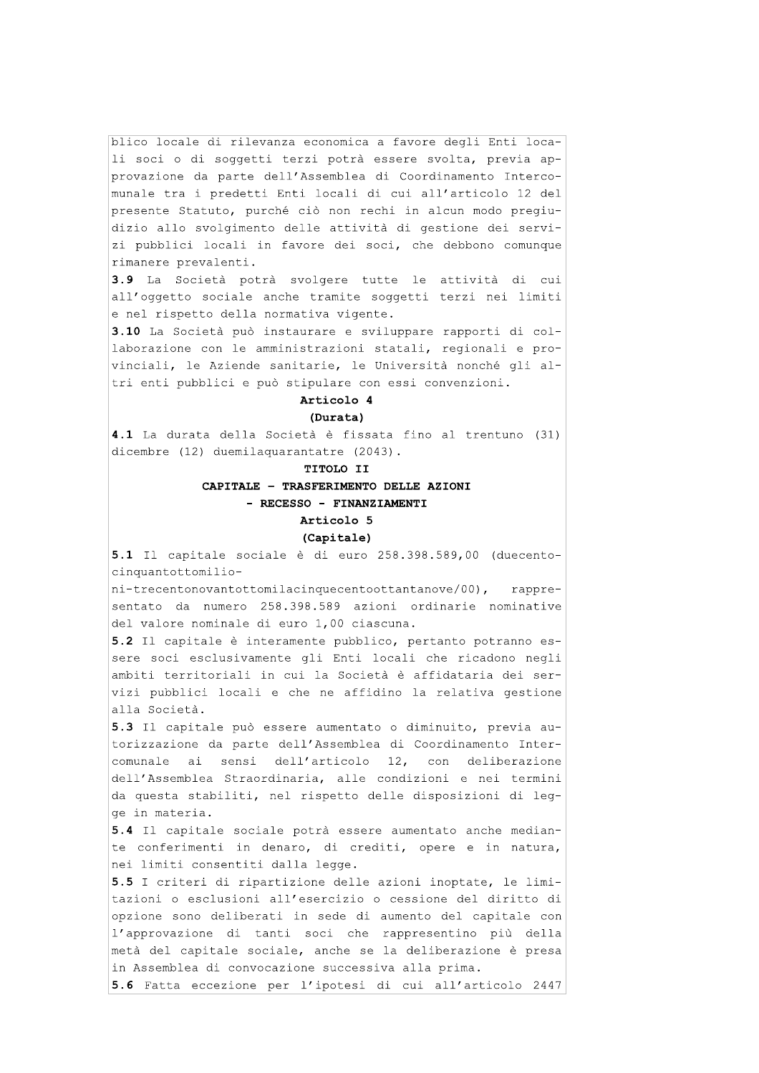blico locale di rilevanza economica a favore degli Enti locali soci o di soggetti terzi potrà essere svolta, previa approvazione da parte dell'Assemblea di Coordinamento Intercomunale tra i predetti Enti locali di cui all'articolo 12 del presente Statuto, purché ciò non rechi in alcun modo pregiudizio allo svolgimento delle attività di gestione dei servizi pubblici locali in favore dei soci, che debbono comunque rimanere prevalenti.

3.9 La Società potrà svolgere tutte le attività di cui all'oggetto sociale anche tramite soggetti terzi nei limiti e nel rispetto della normativa vigente.

3.10 La Società può instaurare e sviluppare rapporti di collaborazione con le amministrazioni statali, regionali e provinciali, le Aziende sanitarie, le Università nonché gli altri enti pubblici e può stipulare con essi convenzioni.

# Articolo 4

#### (Durata)

4.1 La durata della Società è fissata fino al trentuno (31) dicembre (12) duemilaquarantatre (2043).

TITOLO II

#### CAPITALE - TRASFERIMENTO DELLE AZIONI

### - RECESSO - FINANZIAMENTI

# Articolo 5

#### (Capitale)

5.1 Il capitale sociale è di euro 258.398.589,00 (duecentocinquantottomilio-

ni-trecentonovantottomilacinquecentoottantanove/00), rappresentato da numero 258.398.589 azioni ordinarie nominative del valore nominale di euro 1,00 ciascuna.

5.2 Il capitale è interamente pubblico, pertanto potranno essere soci esclusivamente qli Enti locali che ricadono neqli ambiti territoriali in cui la Società è affidataria dei servizi pubblici locali e che ne affidino la relativa gestione alla Società.

5.3 Il capitale può essere aumentato o diminuito, previa autorizzazione da parte dell'Assemblea di Coordinamento Intercomunale ai sensi dell'articolo 12, con deliberazione dell'Assemblea Straordinaria, alle condizioni e nei termini da questa stabiliti, nel rispetto delle disposizioni di legqe in materia.

5.4 Il capitale sociale potrà essere aumentato anche mediante conferimenti in denaro, di crediti, opere e in natura, nei limiti consentiti dalla legge.

5.5 I criteri di ripartizione delle azioni inoptate, le limitazioni o esclusioni all'esercizio o cessione del diritto di opzione sono deliberati in sede di aumento del capitale con l'approvazione di tanti soci che rappresentino più della metà del capitale sociale, anche se la deliberazione è presa in Assemblea di convocazione successiva alla prima.

5.6 Fatta eccezione per l'ipotesi di cui all'articolo 2447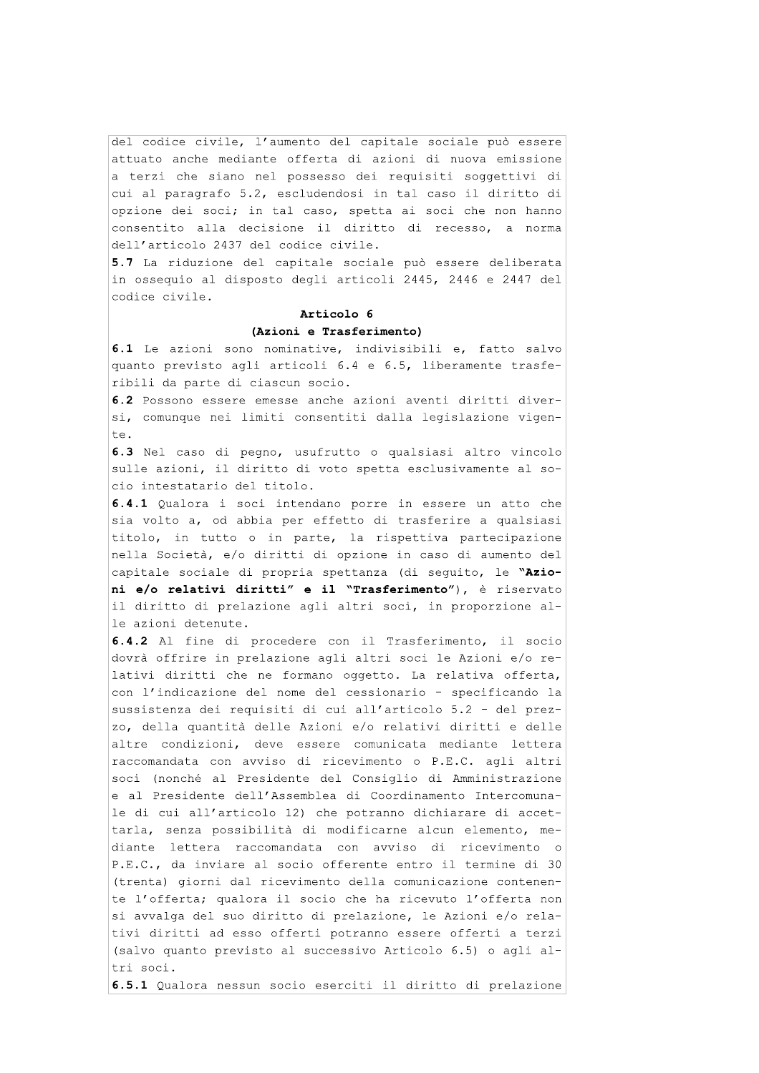del codice civile, l'aumento del capitale sociale può essere attuato anche mediante offerta di azioni di nuova emissione a terzi che siano nel possesso dei requisiti soggettivi di cui al paragrafo 5.2, escludendosi in tal caso il diritto di opzione dei soci; in tal caso, spetta ai soci che non hanno consentito alla decisione il diritto di recesso, a norma dell'articolo 2437 del codice civile.

5.7 La riduzione del capitale sociale può essere deliberata in ossequio al disposto degli articoli 2445, 2446 e 2447 del codice civile.

#### Articolo 6

#### (Azioni e Trasferimento)

6.1 Le azioni sono nominative, indivisibili e, fatto salvo quanto previsto agli articoli 6.4 e 6.5, liberamente trasferibili da parte di ciascun socio.

6.2 Possono essere emesse anche azioni aventi diritti diversi, comunque nei limiti consentiti dalla legislazione vigente.

6.3 Nel caso di pegno, usufrutto o qualsiasi altro vincolo sulle azioni, il diritto di voto spetta esclusivamente al socio intestatario del titolo.

6.4.1 Qualora i soci intendano porre in essere un atto che sia volto a, od abbia per effetto di trasferire a qualsiasi titolo, in tutto o in parte, la rispettiva partecipazione nella Società, e/o diritti di opzione in caso di aumento del capitale sociale di propria spettanza (di sequito, le "Azioni e/o relativi diritti" e il "Trasferimento"), è riservato il diritto di prelazione agli altri soci, in proporzione alle azioni detenute.

6.4.2 Al fine di procedere con il Trasferimento, il socio dovrà offrire in prelazione agli altri soci le Azioni e/o relativi diritti che ne formano oggetto. La relativa offerta, con l'indicazione del nome del cessionario - specificando la sussistenza dei requisiti di cui all'articolo 5.2 - del prezzo, della quantità delle Azioni e/o relativi diritti e delle altre condizioni, deve essere comunicata mediante lettera raccomandata con avviso di ricevimento o P.E.C. agli altri soci (nonché al Presidente del Consiglio di Amministrazione e al Presidente dell'Assemblea di Coordinamento Intercomunale di cui all'articolo 12) che potranno dichiarare di accettarla, senza possibilità di modificarne alcun elemento, mediante lettera raccomandata con avviso di ricevimento o P.E.C., da inviare al socio offerente entro il termine di 30 (trenta) giorni dal ricevimento della comunicazione contenente l'offerta; qualora il socio che ha ricevuto l'offerta non si avvalga del suo diritto di prelazione, le Azioni e/o relativi diritti ad esso offerti potranno essere offerti a terzi (salvo quanto previsto al successivo Articolo 6.5) o agli altri soci.

6.5.1 Qualora nessun socio eserciti il diritto di prelazione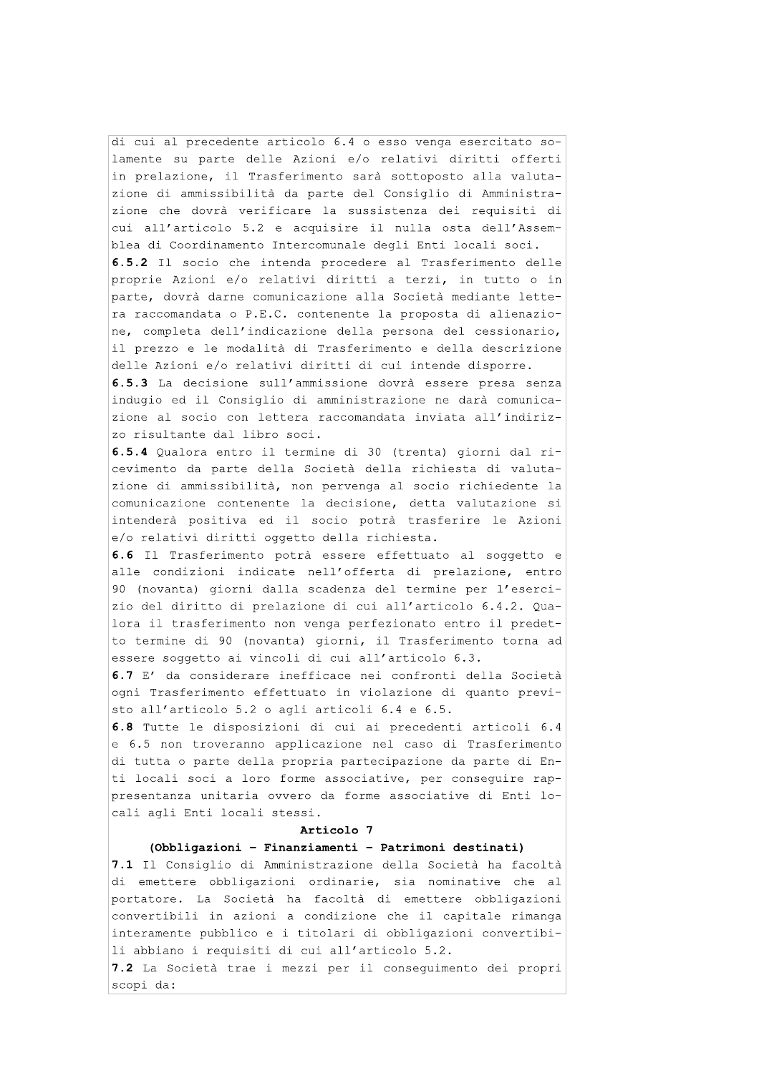di cui al precedente articolo 6.4 o esso venga esercitato solamente su parte delle Azioni e/o relativi diritti offerti in prelazione, il Trasferimento sarà sottoposto alla valutazione di ammissibilità da parte del Consiglio di Amministrazione che dovrà verificare la sussistenza dei requisiti di cui all'articolo 5.2 e acquisire il nulla osta dell'Assemblea di Coordinamento Intercomunale degli Enti locali soci.

6.5.2 Il socio che intenda procedere al Trasferimento delle proprie Azioni e/o relativi diritti a terzi, in tutto o in parte, dovrà darne comunicazione alla Società mediante lettera raccomandata o P.E.C. contenente la proposta di alienazione, completa dell'indicazione della persona del cessionario, il prezzo e le modalità di Trasferimento e della descrizione delle Azioni e/o relativi diritti di cui intende disporre.

6.5.3 La decisione sull'ammissione dovrà essere presa senza indugio ed il Consiglio di amministrazione ne darà comunicazione al socio con lettera raccomandata inviata all'indirizzo risultante dal libro soci.

6.5.4 Qualora entro il termine di 30 (trenta) giorni dal ricevimento da parte della Società della richiesta di valutazione di ammissibilità, non pervenga al socio richiedente la comunicazione contenente la decisione, detta valutazione si intenderà positiva ed il socio potrà trasferire le Azioni e/o relativi diritti oggetto della richiesta.

6.6 Il Trasferimento potrà essere effettuato al soggetto e alle condizioni indicate nell'offerta di prelazione, entro 90 (novanta) giorni dalla scadenza del termine per l'esercizio del diritto di prelazione di cui all'articolo 6.4.2. Qualora il trasferimento non venga perfezionato entro il predetto termine di 90 (novanta) giorni, il Trasferimento torna ad essere soggetto ai vincoli di cui all'articolo 6.3.

6.7 E' da considerare inefficace nei confronti della Società ogni Trasferimento effettuato in violazione di quanto previsto all'articolo 5.2 o agli articoli 6.4 e 6.5.

6.8 Tutte le disposizioni di cui ai precedenti articoli 6.4 e 6.5 non troveranno applicazione nel caso di Trasferimento di tutta o parte della propria partecipazione da parte di Enti locali soci a loro forme associative, per consequire rappresentanza unitaria ovvero da forme associative di Enti locali agli Enti locali stessi.

#### Articolo 7

#### (Obbligazioni - Finanziamenti - Patrimoni destinati)

7.1 Il Consiglio di Amministrazione della Società ha facoltà di emettere obbligazioni ordinarie, sia nominative che al portatore. La Società ha facoltà di emettere obbligazioni convertibili in azioni a condizione che il capitale rimanga interamente pubblico e i titolari di obbligazioni convertibili abbiano i requisiti di cui all'articolo 5.2.

7.2 La Società trae i mezzi per il conseguimento dei propri scopi da: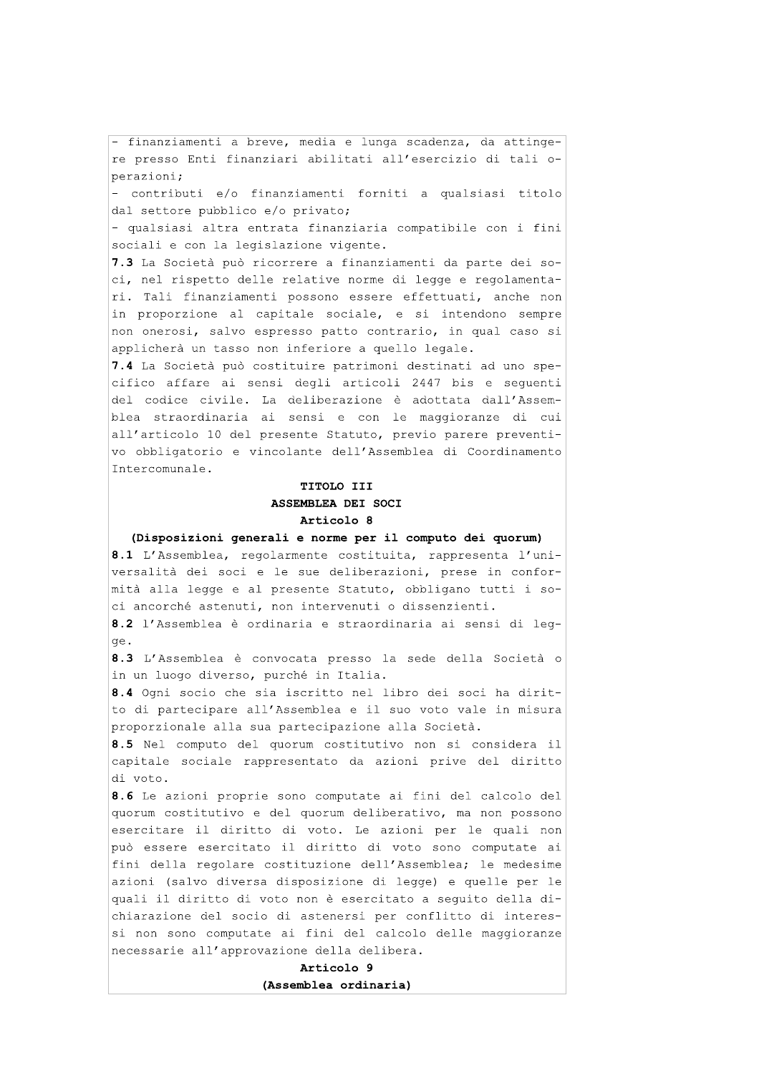- finanziamenti a breve, media e lunga scadenza, da attingere presso Enti finanziari abilitati all'esercizio di tali operazioni;

- contributi e/o finanziamenti forniti a qualsiasi titolo dal settore pubblico e/o privato;

- qualsiasi altra entrata finanziaria compatibile con i fini sociali e con la legislazione vigente.

7.3 La Società può ricorrere a finanziamenti da parte dei soci, nel rispetto delle relative norme di legge e regolamentari. Tali finanziamenti possono essere effettuati, anche non in proporzione al capitale sociale, e si intendono sempre non onerosi, salvo espresso patto contrario, in qual caso si applicherà un tasso non inferiore a quello legale.

7.4 La Società può costituire patrimoni destinati ad uno specifico affare ai sensi degli articoli 2447 bis e sequenti del codice civile. La deliberazione è adottata dall'Assemblea straordinaria ai sensi e con le maggioranze di cui all'articolo 10 del presente Statuto, previo parere preventivo obbligatorio e vincolante dell'Assemblea di Coordinamento Intercomunale.

# TITOLO III ASSEMBLEA DEI SOCI Articolo 8

(Disposizioni generali e norme per il computo dei quorum)

8.1 L'Assemblea, regolarmente costituita, rappresenta l'universalità dei soci e le sue deliberazioni, prese in conformità alla legge e al presente Statuto, obbligano tutti i soci ancorché astenuti, non intervenuti o dissenzienti.

8.2 l'Assemblea è ordinaria e straordinaria ai sensi di legqe.

8.3 L'Assemblea è convocata presso la sede della Società o in un luogo diverso, purché in Italia.

8.4 Ogni socio che sia iscritto nel libro dei soci ha diritto di partecipare all'Assemblea e il suo voto vale in misura proporzionale alla sua partecipazione alla Società.

8.5 Nel computo del quorum costitutivo non si considera il capitale sociale rappresentato da azioni prive del diritto di voto.

8.6 Le azioni proprie sono computate ai fini del calcolo del quorum costitutivo e del quorum deliberativo, ma non possono esercitare il diritto di voto. Le azioni per le quali non può essere esercitato il diritto di voto sono computate ai fini della regolare costituzione dell'Assemblea; le medesime azioni (salvo diversa disposizione di legge) e quelle per le quali il diritto di voto non è esercitato a seguito della dichiarazione del socio di astenersi per conflitto di interessi non sono computate ai fini del calcolo delle maggioranze necessarie all'approvazione della delibera.

> Articolo 9 (Assemblea ordinaria)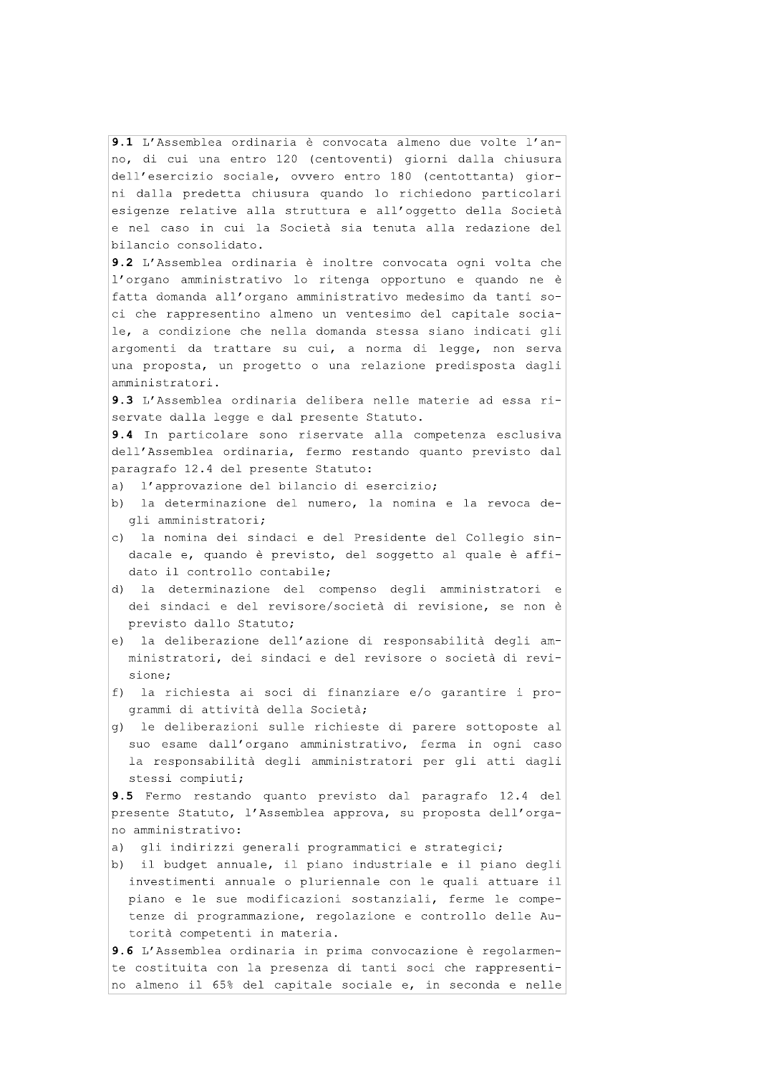9.1 L'Assemblea ordinaria è convocata almeno due volte l'anno, di cui una entro 120 (centoventi) giorni dalla chiusura dell'esercizio sociale, ovvero entro 180 (centottanta) giorni dalla predetta chiusura quando lo richiedono particolari esigenze relative alla struttura e all'oggetto della Società e nel caso in cui la Società sia tenuta alla redazione del bilancio consolidato.

9.2 L'Assemblea ordinaria è inoltre convocata ogni volta che l'organo amministrativo lo ritenga opportuno e quando ne è fatta domanda all'organo amministrativo medesimo da tanti soci che rappresentino almeno un ventesimo del capitale sociale, a condizione che nella domanda stessa siano indicati gli argomenti da trattare su cui, a norma di legge, non serva una proposta, un progetto o una relazione predisposta dagli amministratori.

9.3 L'Assemblea ordinaria delibera nelle materie ad essa riservate dalla legge e dal presente Statuto.

9.4 In particolare sono riservate alla competenza esclusiva dell'Assemblea ordinaria, fermo restando quanto previsto dal paragrafo 12.4 del presente Statuto:

- $\overline{a}$ ) l'approvazione del bilancio di esercizio;
- b) la determinazione del numero, la nomina e la revoca degli amministratori;
- c) la nomina dei sindaci e del Presidente del Collegio sindacale e, quando è previsto, del soggetto al quale è affidato il controllo contabile;
- d) la determinazione del compenso degli amministratori e dei sindaci e del revisore/società di revisione, se non è previsto dallo Statuto;
- e) la deliberazione dell'azione di responsabilità degli amministratori, dei sindaci e del revisore o società di revisione;
- f) la richiesta ai soci di finanziare e/o garantire i programmi di attività della Società;
- q) le deliberazioni sulle richieste di parere sottoposte al suo esame dall'organo amministrativo, ferma in ogni caso la responsabilità degli amministratori per gli atti dagli stessi compiuti;

9.5 Fermo restando quanto previsto dal paragrafo 12.4 del presente Statuto, l'Assemblea approva, su proposta dell'organo amministrativo:

a) qli indirizzi qenerali programmatici e strategici;

b) il budget annuale, il piano industriale e il piano degli investimenti annuale o pluriennale con le quali attuare il piano e le sue modificazioni sostanziali, ferme le competenze di programmazione, regolazione e controllo delle Autorità competenti in materia.

9.6 L'Assemblea ordinaria in prima convocazione è regolarmente costituita con la presenza di tanti soci che rappresentino almeno il 65% del capitale sociale e, in seconda e nelle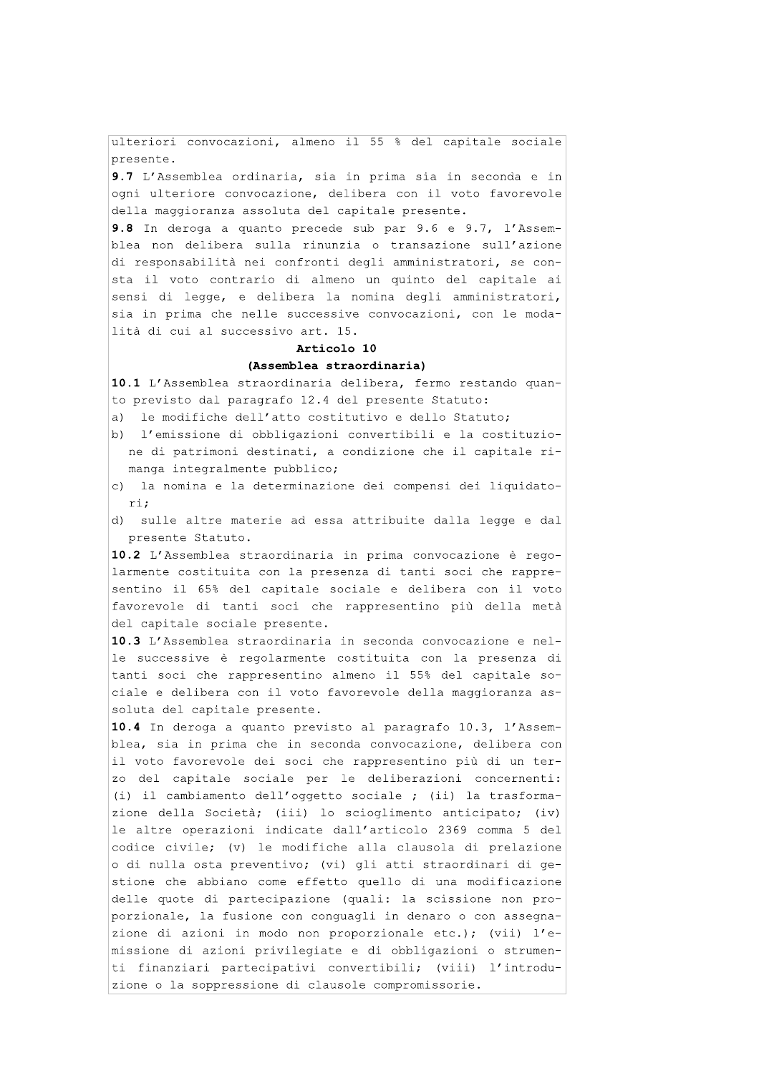ulteriori convocazioni, almeno il 55 % del capitale sociale presente.

9.7 L'Assemblea ordinaria, sia in prima sia in seconda e in ogni ulteriore convocazione, delibera con il voto favorevole della maggioranza assoluta del capitale presente.

9.8 In deroga a quanto precede sub par 9.6 e 9.7, l'Assemblea non delibera sulla rinunzia o transazione sull'azione di responsabilità nei confronti degli amministratori, se consta il voto contrario di almeno un quinto del capitale ai sensi di legge, e delibera la nomina degli amministratori, sia in prima che nelle successive convocazioni, con le modalità di cui al successivo art. 15.

#### Articolo 10

#### (Assemblea straordinaria)

10.1 L'Assemblea straordinaria delibera, fermo restando quanto previsto dal paragrafo 12.4 del presente Statuto:

- a) le modifiche dell'atto costitutivo e dello Statuto;
- b) l'emissione di obbligazioni convertibili e la costituzione di patrimoni destinati, a condizione che il capitale rimanga integralmente pubblico;
- c) la nomina e la determinazione dei compensi dei liquidatori:
- d) sulle altre materie ad essa attribuite dalla legge e dal presente Statuto.

10.2 L'Assemblea straordinaria in prima convocazione è regolarmente costituita con la presenza di tanti soci che rappresentino il 65% del capitale sociale e delibera con il voto favorevole di tanti soci che rappresentino più della metà del capitale sociale presente.

10.3 L'Assemblea straordinaria in seconda convocazione e nelle successive è regolarmente costituita con la presenza di tanti soci che rappresentino almeno il 55% del capitale sociale e delibera con il voto favorevole della maggioranza assoluta del capitale presente.

10.4 In deroga a quanto previsto al paragrafo 10.3, l'Assemblea, sia in prima che in seconda convocazione, delibera con il voto favorevole dei soci che rappresentino più di un terzo del capitale sociale per le deliberazioni concernenti: (i) il cambiamento dell'oggetto sociale ; (ii) la trasformazione della Società; (iii) lo scioglimento anticipato; (iv) le altre operazioni indicate dall'articolo 2369 comma 5 del codice civile; (v) le modifiche alla clausola di prelazione o di nulla osta preventivo; (vi) gli atti straordinari di gestione che abbiano come effetto quello di una modificazione delle quote di partecipazione (quali: la scissione non proporzionale, la fusione con conquagli in denaro o con assegnazione di azioni in modo non proporzionale etc.); (vii) l'emissione di azioni privilegiate e di obbligazioni o strumenti finanziari partecipativi convertibili; (viii) l'introduzione o la soppressione di clausole compromissorie.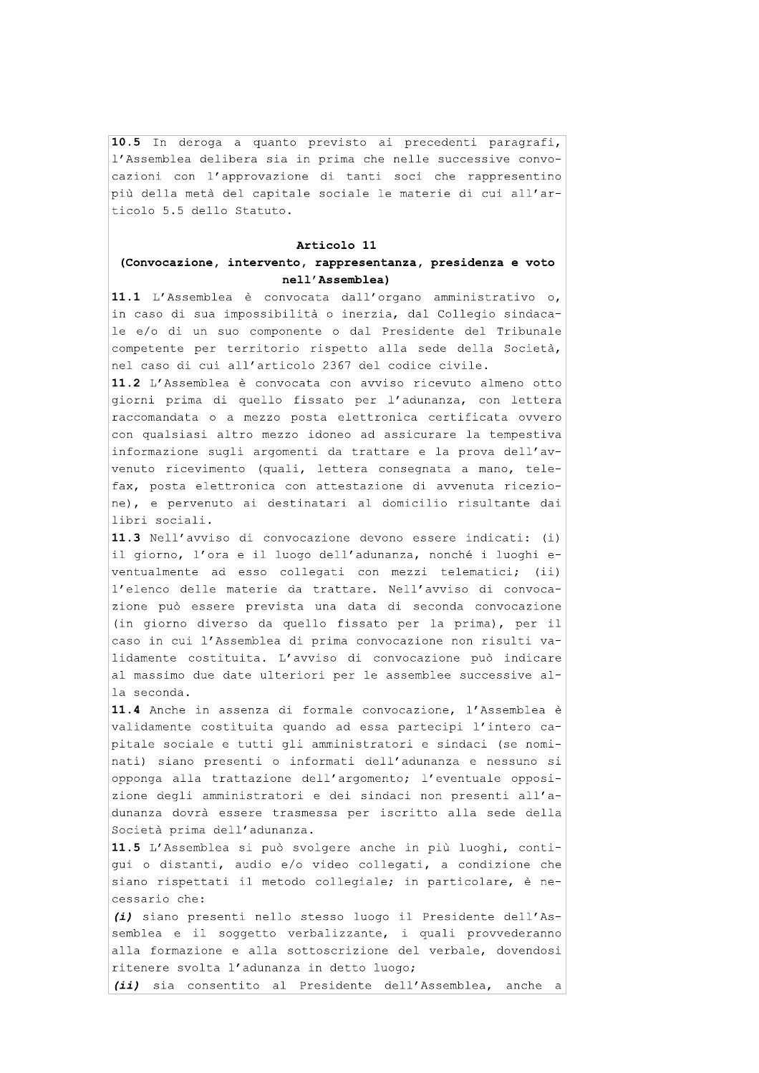10.5 In deroga a quanto previsto ai precedenti paragrafi, l'Assemblea delibera sia in prima che nelle successive convocazioni con l'approvazione di tanti soci che rappresentino più della metà del capitale sociale le materie di cui all'articolo 5.5 dello Statuto.

#### Articolo 11

# (Convocazione, intervento, rappresentanza, presidenza e voto nell'Assemblea)

11.1 L'Assemblea è convocata dall'organo amministrativo o, in caso di sua impossibilità o inerzia, dal Collegio sindacale e/o di un suo componente o dal Presidente del Tribunale competente per territorio rispetto alla sede della Società, nel caso di cui all'articolo 2367 del codice civile.

11.2 L'Assemblea è convocata con avviso ricevuto almeno otto giorni prima di quello fissato per l'adunanza, con lettera raccomandata o a mezzo posta elettronica certificata ovvero con qualsiasi altro mezzo idoneo ad assicurare la tempestiva informazione sugli argomenti da trattare e la prova dell'avvenuto ricevimento (quali, lettera consegnata a mano, telefax, posta elettronica con attestazione di avvenuta ricezione), e pervenuto ai destinatari al domicilio risultante dai libri sociali.

11.3 Nell'avviso di convocazione devono essere indicati: (i) il giorno, l'ora e il luogo dell'adunanza, nonché i luoghi eventualmente ad esso collegati con mezzi telematici;  $(iii)$ l'elenco delle materie da trattare. Nell'avviso di convocazione può essere prevista una data di seconda convocazione (in giorno diverso da quello fissato per la prima), per il caso in cui l'Assemblea di prima convocazione non risulti validamente costituita. L'avviso di convocazione può indicare al massimo due date ulteriori per le assemblee successive alla seconda.

11.4 Anche in assenza di formale convocazione, l'Assemblea è validamente costituita quando ad essa partecipi l'intero capitale sociale e tutti gli amministratori e sindaci (se nominati) siano presenti o informati dell'adunanza e nessuno si opponga alla trattazione dell'argomento; l'eventuale opposizione degli amministratori e dei sindaci non presenti all'adunanza dovrà essere trasmessa per iscritto alla sede della Società prima dell'adunanza.

11.5 L'Assemblea si può svolgere anche in più luoghi, contigui o distanti, audio e/o video collegati, a condizione che siano rispettati il metodo collegiale; in particolare, è necessario che:

(i) siano presenti nello stesso luogo il Presidente dell'Assemblea e il soggetto verbalizzante, i quali provvederanno alla formazione e alla sottoscrizione del verbale, dovendosi ritenere svolta l'adunanza in detto luogo;

(ii) sia consentito al Presidente dell'Assemblea, anche a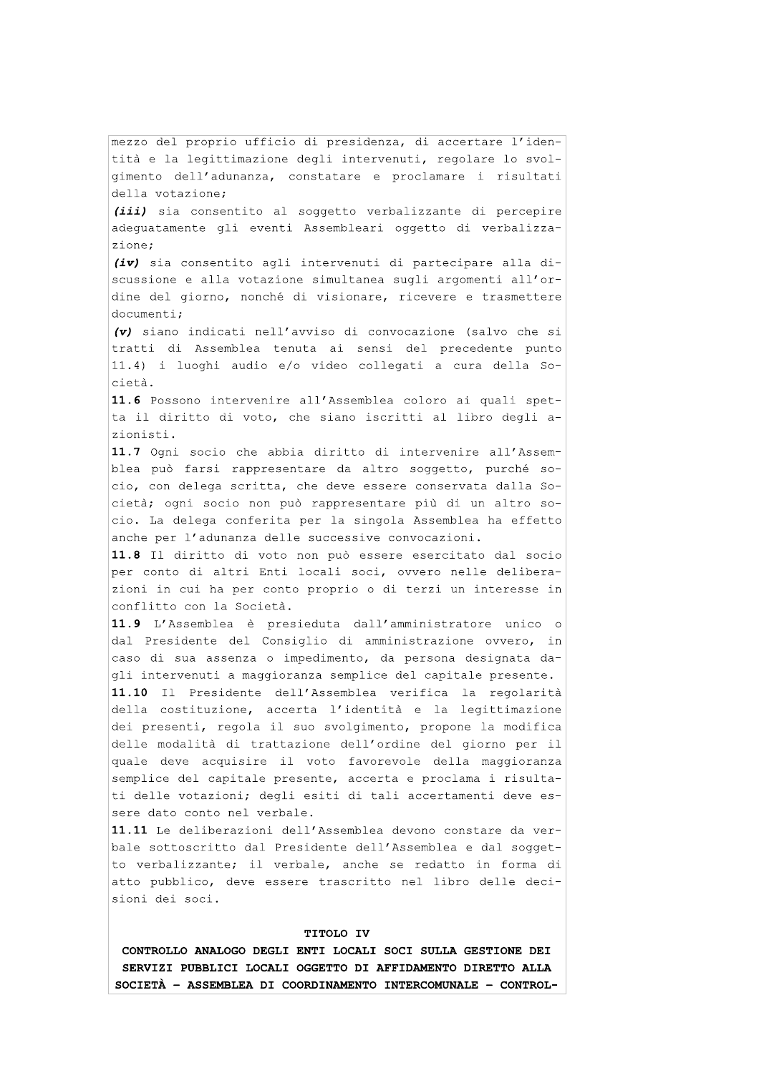mezzo del proprio ufficio di presidenza, di accertare l'identità e la legittimazione degli intervenuti, regolare lo svolgimento dell'adunanza, constatare e proclamare i risultati della votazione;

(iii) sia consentito al soggetto verbalizzante di percepire adeguatamente gli eventi Assembleari oggetto di verbalizzazione;

(iv) sia consentito agli intervenuti di partecipare alla discussione e alla votazione simultanea sugli argomenti all'ordine del giorno, nonché di visionare, ricevere e trasmettere documenti;

(v) siano indicati nell'avviso di convocazione (salvo che si tratti di Assemblea tenuta ai sensi del precedente punto 11.4) i luoghi audio e/o video collegati a cura della Società.

11.6 Possono intervenire all'Assemblea coloro ai quali spetta il diritto di voto, che siano iscritti al libro degli azionisti

11.7 Ogni socio che abbia diritto di intervenire all'Assemblea può farsi rappresentare da altro soggetto, purché socio, con delega scritta, che deve essere conservata dalla Società; ogni socio non può rappresentare più di un altro socio. La delega conferita per la singola Assemblea ha effetto anche per l'adunanza delle successive convocazioni.

11.8 Il diritto di voto non può essere esercitato dal socio per conto di altri Enti locali soci, ovvero nelle deliberazioni in cui ha per conto proprio o di terzi un interesse in conflitto con la Società.

11.9 L'Assemblea è presieduta dall'amministratore unico o dal Presidente del Consiglio di amministrazione ovvero, in caso di sua assenza o impedimento, da persona designata dagli intervenuti a maggioranza semplice del capitale presente.

11.10 Il Presidente dell'Assemblea verifica la regolarità della costituzione, accerta l'identità e la legittimazione dei presenti, regola il suo svolgimento, propone la modifica delle modalità di trattazione dell'ordine del giorno per il quale deve acquisire il voto favorevole della maqqioranza semplice del capitale presente, accerta e proclama i risultati delle votazioni; degli esiti di tali accertamenti deve essere dato conto nel verbale.

11.11 Le deliberazioni dell'Assemblea devono constare da verbale sottoscritto dal Presidente dell'Assemblea e dal soggetto verbalizzante; il verbale, anche se redatto in forma di atto pubblico, deve essere trascritto nel libro delle decisioni dei soci.

#### TITOLO IV

CONTROLLO ANALOGO DEGLI ENTI LOCALI SOCI SULLA GESTIONE DEI SERVIZI PUBBLICI LOCALI OGGETTO DI AFFIDAMENTO DIRETTO ALLA SOCIETÀ - ASSEMBLEA DI COORDINAMENTO INTERCOMUNALE - CONTROL-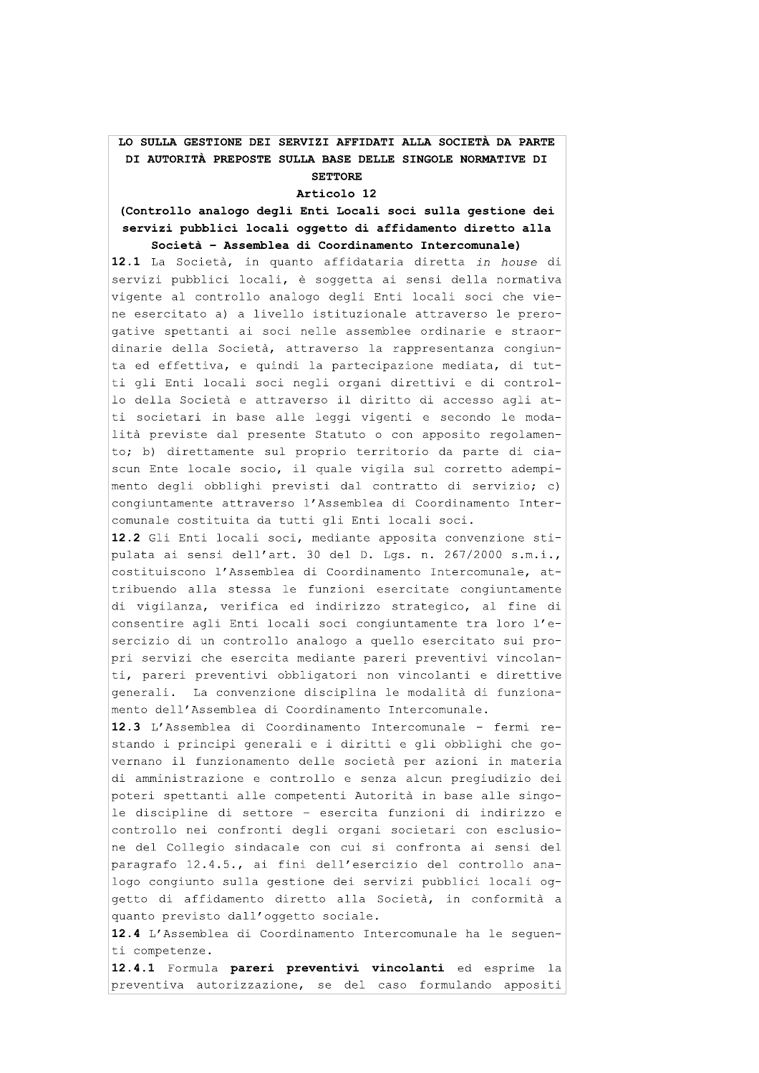## LO SULLA GESTIONE DEI SERVIZI AFFIDATI ALLA SOCIETA DA PARTE DI AUTORITA PREPOSTE SULLA BASE DELLE SINGOLE NORMATIVE DI **SETTORE**

# Articolo 12

# (Controllo analogo degli Enti Locali soci sulla gestione dei servizi pubblici locali oggetto di affidamento diretto alla Societa - Assemblea di Coordinamento Intercomunale)

LO SULLA GESTIONE DEI SER<br>DI AUTORITÀ PREPOSTE SUL<br>1<br>(Controllo analogo degli<br>3<br>servizi pubblici locali c<br>5<br>ocietà - Assemblea c<br>12.1 La Società, in quano<br>servizi pubblici locali,<br>vigente al controllo analo<br>1 e esercitato 12.1 La Società, in quanto affidataria diretta in house di servizi pubblici locali, è soqqetta ai sensi della normativa vigente al controllo analogo degli Enti locali soci che viene esercitato a) a livello istituzionale attraverso le prerogative spettanti ai soci nelle assemblee ordinarie e straordinarie della Società, attraverso la rappresentanza congiunta ed effettiva, e quindi la partecipazione mediata, di tutti gli Enti locali soci negli organi direttivi e di controllo della Società e attraverso il diritto di accesso agli atti societari in base alle leggi vigenti e secondo le modalità previste dal presente Statuto o con apposito regolamento; b) direttamente sul proprio territorio da parte di ciascun Ente locale socio, il quale vigila sul corretto adempimento degli obblighi previsti dal contratto di servizio; c) congiuntamente attraverso l'Assemblea di Coordinamento Intercomunale costituita da tutti gli Enti locali soci.

12.2 Gli Enti locali soci, mediante apposita convenzione stipulata ai sensi dell'art. 30 del D. Los. n. 267/2000 s.m.i., costituiscono l'Assemblea di Coordinamento Intercomunale, attribuendo alla stessa le funzioni esercitate congiuntamente di vigilanza, verifica ed indirizzo strategico, al fine di consentire agli Enti locali soci congiuntamente tra loro l'esercizio di un controllo analogo a quello esercitato sui propri servizi che esercita mediante pareri preventivi vincolanti, pareri preventivi obbligatori non vincolanti e direttive generali. La convenzione disciplina le modalità di funzionamento dell'Assemblea di Coordinamento Intercomunale.

12.3 L'Assemblea di Coordinamento Intercomunale - fermi restando i principi generali e i diritti e gli obblighi che governano il funzionamento delle società per azioni in materia di amministrazione e controllo e senza alcun pregiudizio dei poteri spettanti alle competenti Autorità in base alle singole discipline di settore - esercita funzioni di indirizzo e controllo nei confronti degli organi societari con esclusione del Collegio sindacale con cui si confronta ai sensi del paragrafo 12.4.5., ai fini dell'esercizio del controllo analogo congiunto sulla gestione dei servizi pubblici locali oggetto di affidamento diretto alla Società, in conformità a quanto previsto dall'oggetto sociale. paragrafo 12.4.5., ai fini dell'<br>logo congiunto sulla gestione dei<br>getto di affidamento diretto al<br>quanto previsto dall'oggetto soci<br>12.4 L'Assemblea di Coordinamento<br>ti competenze.<br>12.4.1 Formula pareri preventiv<br>preventi Fo 12.4.5., ai fini dell'esercizi<br>
migiunto sulla gestione dei serviz<br>
i affidamento diretto alla Soci-<br>
previsto dall'oggetto sociale.<br>
Assemblea di Coordinamento Intercetenze.<br>
Formula **pareri preventivi vinco**<br>
iva auto

12.4 L'Assemblea di Coordinamento Intercomunale ha le sequenti competenze.

12.4.1 Formula pareri preventivi vincolanti ed esprime la preventiva autorizzazione, se del caso formulando appositi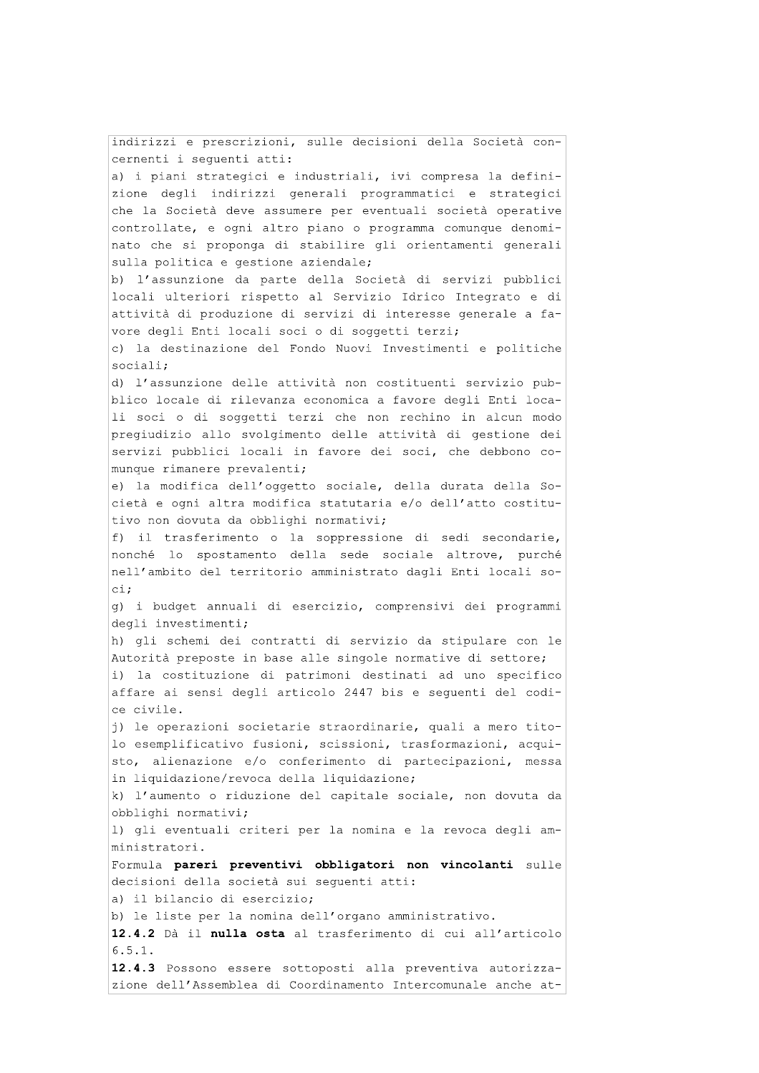indirizzi e prescrizioni, sulle decisioni della Società concernenti i seguenti atti: a) i piani strategici e industriali, ivi compresa la definizione degli indirizzi generali programmatici e strategici che la Società deve assumere per eventuali società operative controllate, e ogni altro piano o programma comunque denominato che si proponga di stabilire gli orientamenti generali sulla politica e gestione aziendale; b) l'assunzione da parte della Società di servizi pubblici locali ulteriori rispetto al Servizio Idrico Integrato e di attività di produzione di servizi di interesse generale a favore degli Enti locali soci o di soggetti terzi; c) la destinazione del Fondo Nuovi Investimenti e politiche sociali; d) l'assunzione delle attività non costituenti servizio pubblico locale di rilevanza economica a favore degli Enti locali soci o di soggetti terzi che non rechino in alcun modo pregiudizio allo svolgimento delle attività di gestione dei servizi pubblici locali in favore dei soci, che debbono comunque rimanere prevalenti; e) la modifica dell'oggetto sociale, della durata della Società e ogni altra modifica statutaria e/o dell'atto costitutivo non dovuta da obblighi normativi; f) il trasferimento o la soppressione di sedi secondarie, nonché lo spostamento della sede sociale altrove, purché nell'ambito del territorio amministrato dagli Enti locali so $ci:$ g) i budget annuali di esercizio, comprensivi dei programmi degli investimenti; h) qli schemi dei contratti di servizio da stipulare con le Autorità preposte in base alle singole normative di settore; i) la costituzione di patrimoni destinati ad uno specifico affare ai sensi degli articolo 2447 bis e sequenti del codice civile. j) le operazioni societarie straordinarie, quali a mero titolo esemplificativo fusioni, scissioni, trasformazioni, acquisto, alienazione e/o conferimento di partecipazioni, messa in liquidazione/revoca della liquidazione; k) l'aumento o riduzione del capitale sociale, non dovuta da obblighi normativi; 1) gli eventuali criteri per la nomina e la revoca degli amministratori. Formula pareri preventivi obbligatori non vincolanti sulle decisioni della società sui sequenti atti: a) il bilancio di esercizio; b) le liste per la nomina dell'organo amministrativo. 12.4.2 Dà il nulla osta al trasferimento di cui all'articolo  $6.5.1.$ 12.4.3 Possono essere sottoposti alla preventiva autorizzazione dell'Assemblea di Coordinamento Intercomunale anche at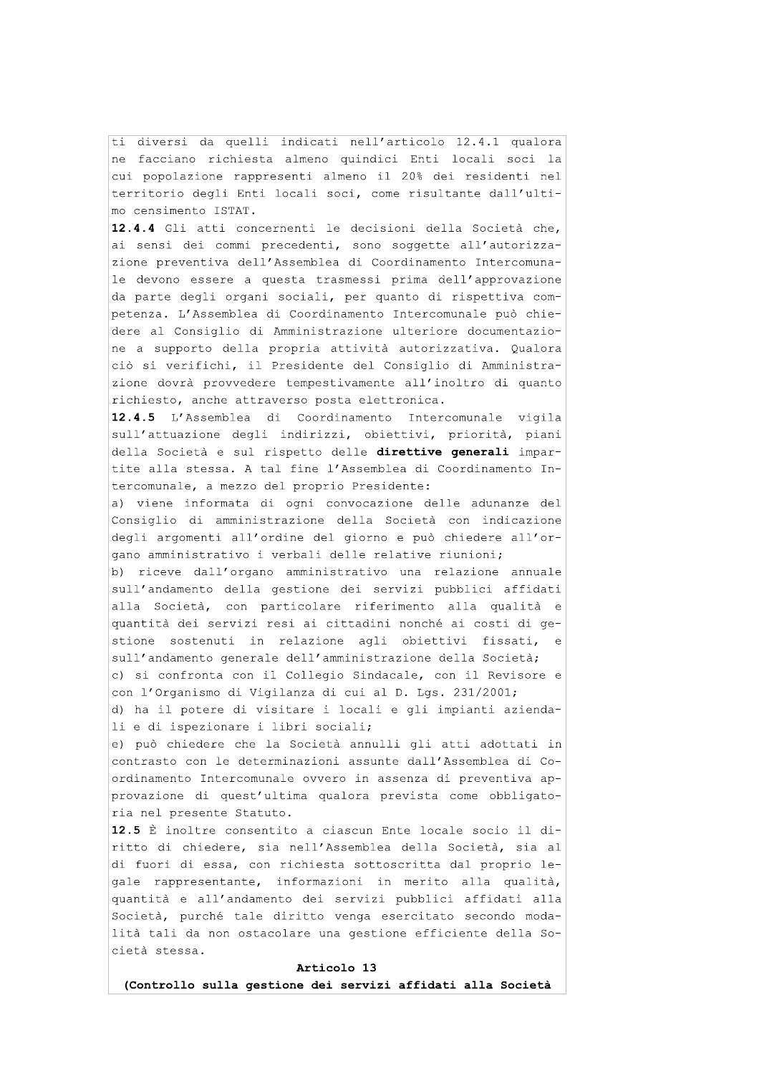ti diversi da quelli indicati nell'articolo 12.4.1 qualora ne facciano richiesta almeno quindici Enti locali soci la cui popolazione rappresenti almeno il 20% dei residenti nel territorio degli Enti locali soci, come risultante dall'ultimo censimento ISTAT.

12.4.4 Gli atti concernenti le decisioni della Società che, ai sensi dei commi precedenti, sono soggette all'autorizzazione preventiva dell'Assemblea di Coordinamento Intercomunale devono essere a questa trasmessi prima dell'approvazione da parte degli organi sociali, per quanto di rispettiva competenza. L'Assemblea di Coordinamento Intercomunale può chiedere al Consiglio di Amministrazione ulteriore documentazione a supporto della propria attività autorizzativa. Qualora ciò si verifichi, il Presidente del Consiglio di Amministrazione dovrà provvedere tempestivamente all'inoltro di quanto richiesto, anche attraverso posta elettronica.

12.4.5 L'Assemblea di Coordinamento Intercomunale vigila sull'attuazione degli indirizzi, obiettivi, priorità, piani della Società e sul rispetto delle direttive generali impartite alla stessa. A tal fine l'Assemblea di Coordinamento Intercomunale, a mezzo del proprio Presidente:

a) viene informata di ogni convocazione delle adunanze del Consiglio di amministrazione della Società con indicazione degli argomenti all'ordine del giorno e può chiedere all'organo amministrativo i verbali delle relative riunioni;

b) riceve dall'organo amministrativo una relazione annuale sull'andamento della gestione dei servizi pubblici affidati alla Società, con particolare riferimento alla qualità e quantità dei servizi resi ai cittadini nonché ai costi di qestione sostenuti in relazione agli obiettivi fissati,  $\sim$ sull'andamento generale dell'amministrazione della Società; c) si confronta con il Collegio Sindacale, con il Revisore e con l'Organismo di Vigilanza di cui al D. Lgs. 231/2001;

d) ha il potere di visitare i locali e gli impianti aziendali e di ispezionare i libri sociali;

e) può chiedere che la Società annulli gli atti adottati in contrasto con le determinazioni assunte dall'Assemblea di Coordinamento Intercomunale ovvero in assenza di preventiva approvazione di quest'ultima qualora prevista come obbligatoria nel presente Statuto.

12.5 È inoltre consentito a ciascun Ente locale socio il diritto di chiedere, sia nell'Assemblea della Società, sia al di fuori di essa, con richiesta sottoscritta dal proprio legale rappresentante, informazioni in merito alla qualità, quantità e all'andamento dei servizi pubblici affidati alla Società, purché tale diritto venga esercitato secondo modalità tali da non ostacolare una gestione efficiente della Società stessa.

#### Articolo 13

(Controllo sulla gestione dei servizi affidati alla Società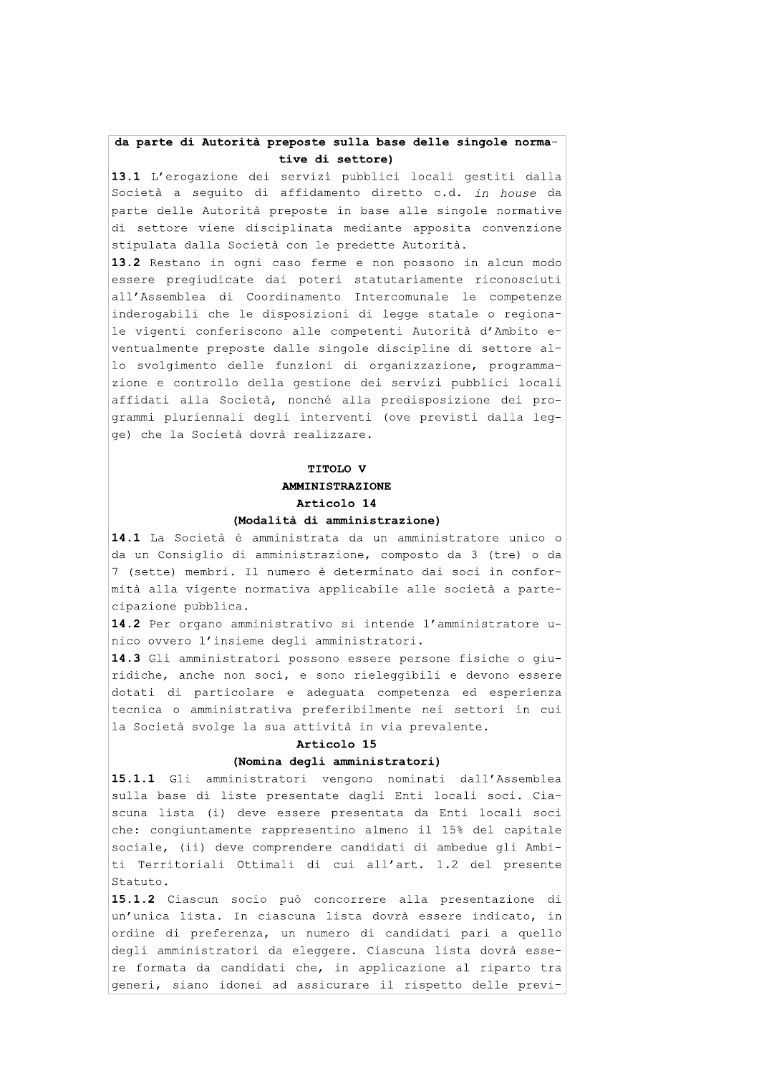# da parte di Autorità preposte sulla base delle singole normative di settore)

13.1 L'erogazione dei servizi pubblici locali gestiti dalla Società a sequito di affidamento diretto c.d. in house da parte delle Autorità preposte in base alle singole normative di settore viene disciplinata mediante apposita convenzione stipulata dalla Società con le predette Autorità.

13.2 Restano in ogni caso ferme e non possono in alcun modo essere pregiudicate dai poteri statutariamente riconosciuti all'Assemblea di Coordinamento Intercomunale le competenze inderogabili che le disposizioni di legge statale o regionale vigenti conferiscono alle competenti Autorità d'Ambito eventualmente preposte dalle singole discipline di settore allo svolgimento delle funzioni di organizzazione, programmazione e controllo della gestione dei servizi pubblici locali affidati alla Società, nonché alla predisposizione dei programmi pluriennali degli interventi (ove previsti dalla legge) che la Società dovrà realizzare.

# TITOLO V **AMMINISTRAZIONE** Articolo 14 (Modalità di amministrazione)

14.1 La Società è amministrata da un amministratore unico o da un Consiglio di amministrazione, composto da 3 (tre) o da 7 (sette) membri. Il numero è determinato dai soci in conformità alla vigente normativa applicabile alle società a partecipazione pubblica.

14.2 Per organo amministrativo si intende l'amministratore unico ovvero l'insieme degli amministratori.

14.3 Gli amministratori possono essere persone fisiche o giuridiche, anche non soci, e sono rieleggibili e devono essere dotati di particolare e adeguata competenza ed esperienza tecnica o amministrativa preferibilmente nei settori in cui la Società svolge la sua attività in via prevalente.

### Articolo 15

#### (Nomina degli amministratori)

15.1.1 Gli amministratori vengono nominati dall'Assemblea sulla base di liste presentate dagli Enti locali soci. Ciascuna lista (i) deve essere presentata da Enti locali soci che: congiuntamente rappresentino almeno il 15% del capitale sociale, (ii) deve comprendere candidati di ambedue qli Ambiti Territoriali Ottimali di cui all'art. 1.2 del presente Statuto.

15.1.2 Ciascun socio può concorrere alla presentazione di un'unica lista. In ciascuna lista dovrà essere indicato, in ordine di preferenza, un numero di candidati pari a quello degli amministratori da eleggere. Ciascuna lista dovrà essere formata da candidati che, in applicazione al riparto tra generi, siano idonei ad assicurare il rispetto delle previ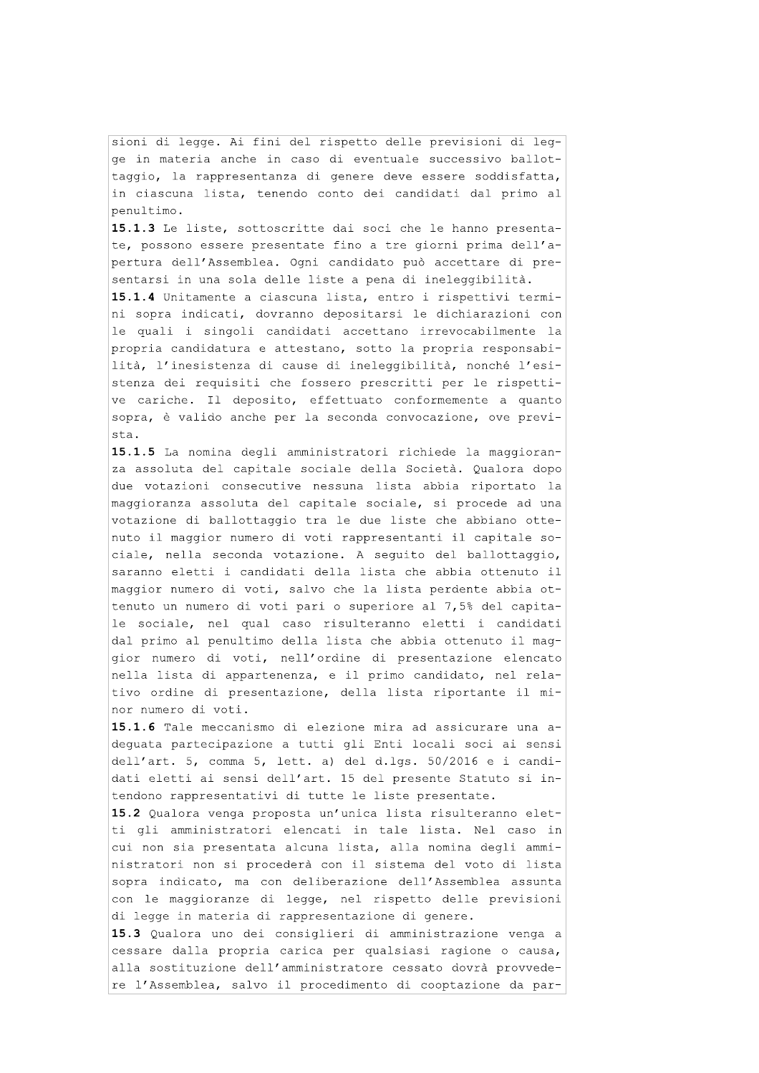sioni di legge. Ai fini del rispetto delle previsioni di legge in materia anche in caso di eventuale successivo ballottaggio, la rappresentanza di genere deve essere soddisfatta, in ciascuna lista, tenendo conto dei candidati dal primo al penultimo.

15.1.3 Le liste, sottoscritte dai soci che le hanno presentate, possono essere presentate fino a tre giorni prima dell'apertura dell'Assemblea. Ogni candidato può accettare di presentarsi in una sola delle liste a pena di ineleggibilità.

15.1.4 Unitamente a ciascuna lista, entro i rispettivi termini sopra indicati, dovranno depositarsi le dichiarazioni con le quali i singoli candidati accettano irrevocabilmente la propria candidatura e attestano, sotto la propria responsabilità, l'inesistenza di cause di ineleggibilità, nonché l'esistenza dei requisiti che fossero prescritti per le rispettive cariche. Il deposito, effettuato conformemente a quanto sopra, è valido anche per la seconda convocazione, ove prevista.

15.1.5 La nomina degli amministratori richiede la maggioranza assoluta del capitale sociale della Società. Qualora dopo due votazioni consecutive nessuna lista abbia riportato la maggioranza assoluta del capitale sociale, si procede ad una votazione di ballottaggio tra le due liste che abbiano ottenuto il maggior numero di voti rappresentanti il capitale sociale, nella seconda votazione. A sequito del ballottaggio, saranno eletti i candidati della lista che abbia ottenuto il maggior numero di voti, salvo che la lista perdente abbia ottenuto un numero di voti pari o superiore al 7,5% del capitale sociale, nel qual caso risulteranno eletti i candidati dal primo al penultimo della lista che abbia ottenuto il maggior numero di voti, nell'ordine di presentazione elencato nella lista di appartenenza, e il primo candidato, nel relativo ordine di presentazione, della lista riportante il minor numero di voti.

15.1.6 Tale meccanismo di elezione mira ad assicurare una adeguata partecipazione a tutti gli Enti locali soci ai sensi dell'art. 5, comma 5, lett. a) del d.lqs. 50/2016 e i candidati eletti ai sensi dell'art. 15 del presente Statuto si intendono rappresentativi di tutte le liste presentate.

15.2 Qualora venga proposta un'unica lista risulteranno eletti gli amministratori elencati in tale lista. Nel caso in cui non sia presentata alcuna lista, alla nomina degli amministratori non si procederà con il sistema del voto di lista sopra indicato, ma con deliberazione dell'Assemblea assunta con le maggioranze di legge, nel rispetto delle previsioni di legge in materia di rappresentazione di genere.

15.3 Qualora uno dei consiglieri di amministrazione venga a cessare dalla propria carica per qualsiasi ragione o causa, alla sostituzione dell'amministratore cessato dovrà provvedere l'Assemblea, salvo il procedimento di cooptazione da par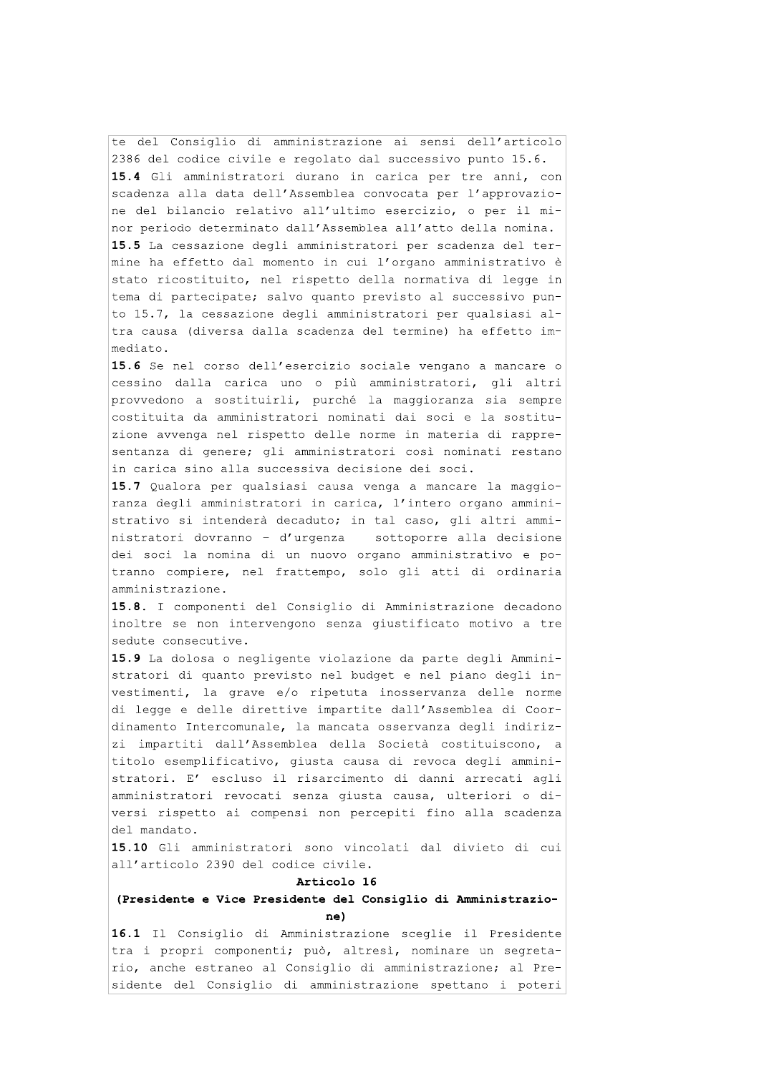te del Consiglio di amministrazione ai sensi dell'articolo 2386 del codice civile e regolato dal successivo punto 15.6. 15.4 Gli amministratori durano in carica per tre anni, con scadenza alla data dell'Assemblea convocata per l'approvazione del bilancio relativo all'ultimo esercizio, o per il minor periodo determinato dall'Assemblea all'atto della nomina. 15.5 La cessazione degli amministratori per scadenza del termine ha effetto dal momento in cui l'organo amministrativo è stato ricostituito, nel rispetto della normativa di legge in tema di partecipate; salvo quanto previsto al successivo punto 15.7, la cessazione degli amministratori per qualsiasi altra causa (diversa dalla scadenza del termine) ha effetto immediato.

15.6 Se nel corso dell'esercizio sociale vengano a mancare o cessino dalla carica uno o più amministratori, qli altri provvedono a sostituirli, purché la maggioranza sia sempre costituita da amministratori nominati dai soci e la sostituzione avvenga nel rispetto delle norme in materia di rappresentanza di genere; gli amministratori così nominati restano in carica sino alla successiva decisione dei soci.

15.7 Qualora per qualsiasi causa venga a mancare la maggioranza degli amministratori in carica, l'intero organo amministrativo si intenderà decaduto; in tal caso, gli altri amministratori dovranno - d'urgenza sottoporre alla decisione dei soci la nomina di un nuovo organo amministrativo e potranno compiere, nel frattempo, solo gli atti di ordinaria amministrazione.

15.8. I componenti del Consiglio di Amministrazione decadono inoltre se non intervengono senza giustificato motivo a tre sedute consecutive.

15.9 La dolosa o negligente violazione da parte degli Amministratori di quanto previsto nel budget e nel piano degli investimenti, la grave e/o ripetuta inosservanza delle norme di legge e delle direttive impartite dall'Assemblea di Coordinamento Intercomunale, la mancata osservanza degli indirizzi impartiti dall'Assemblea della Società costituiscono, a titolo esemplificativo, giusta causa di revoca degli amministratori. E' escluso il risarcimento di danni arrecati agli amministratori revocati senza giusta causa, ulteriori o diversi rispetto ai compensi non percepiti fino alla scadenza del mandato.

15.10 Gli amministratori sono vincolati dal divieto di cui all'articolo 2390 del codice civile.

#### Articolo 16

# (Presidente e Vice Presidente del Consiglio di Amministrazione)

16.1 Il Consiglio di Amministrazione sceglie il Presidente tra i propri componenti; può, altresì, nominare un segretario, anche estraneo al Consiglio di amministrazione; al Presidente del Consiglio di amministrazione spettano i poteri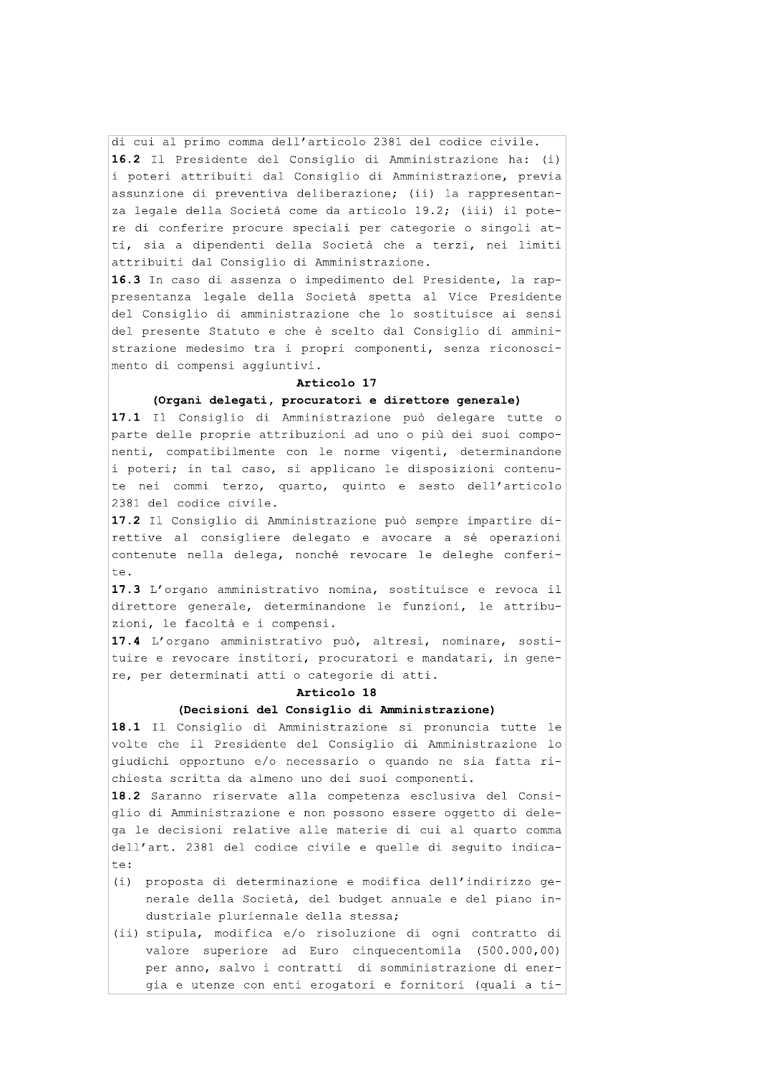di cui al primo comma dell'articolo 2381 del codice civile. 16.2 Il Presidente del Consiglio di Amministrazione ha: (i) i poteri attribuiti dal Consiglio di Amministrazione, previa assunzione di preventiva deliberazione; (ii) la rappresentanza legale della Società come da articolo 19.2; (iii) il potere di conferire procure speciali per categorie o singoli atti, sia a dipendenti della Società che a terzi, nei limiti attribuiti dal Consiglio di Amministrazione.

16.3 In caso di assenza o impedimento del Presidente, la rappresentanza legale della Società spetta al Vice Presidente del Consiglio di amministrazione che lo sostituisce ai sensi del presente Statuto e che è scelto dal Consiglio di amministrazione medesimo tra i propri componenti, senza riconoscimento di compensi aggiuntivi.

#### Articolo 17

#### (Organi delegati, procuratori e direttore generale)

17.1 Il Consiglio di Amministrazione può delegare tutte o parte delle proprie attribuzioni ad uno o più dei suoi componenti, compatibilmente con le norme vigenti, determinandone i poteri; in tal caso, si applicano le disposizioni contenute nei commi terzo, quarto, quinto e sesto dell'articolo 2381 del codice civile.

17.2 Il Consiglio di Amministrazione può sempre impartire direttive al consigliere delegato e avocare a sé operazioni contenute nella delega, nonché revocare le deleghe conferite.

17.3 L'organo amministrativo nomina, sostituisce e revoca il direttore generale, determinandone le funzioni, le attribuzioni, le facoltà e i compensi.

17.4 L'organo amministrativo può, altresì, nominare, sostituire e revocare institori, procuratori e mandatari, in genere, per determinati atti o categorie di atti.

# Articolo 18

# (Decisioni del Consiglio di Amministrazione)

18.1 Il Consiglio di Amministrazione si pronuncia tutte le volte che il Presidente del Consiglio di Amministrazione lo giudichi opportuno e/o necessario o quando ne sia fatta richiesta scritta da almeno uno dei suoi componenti.

18.2 Saranno riservate alla competenza esclusiva del Consiglio di Amministrazione e non possono essere oggetto di delega le decisioni relative alle materie di cui al quarto comma dell'art. 2381 del codice civile e quelle di sequito indicate:

- (i) proposta di determinazione e modifica dell'indirizzo generale della Società, del budget annuale e del piano industriale pluriennale della stessa;
- (ii) stipula, modifica e/o risoluzione di ogni contratto di valore superiore ad Euro cinquecentomila (500.000,00) per anno, salvo i contratti di somministrazione di energia e utenze con enti erogatori e fornitori (quali a ti-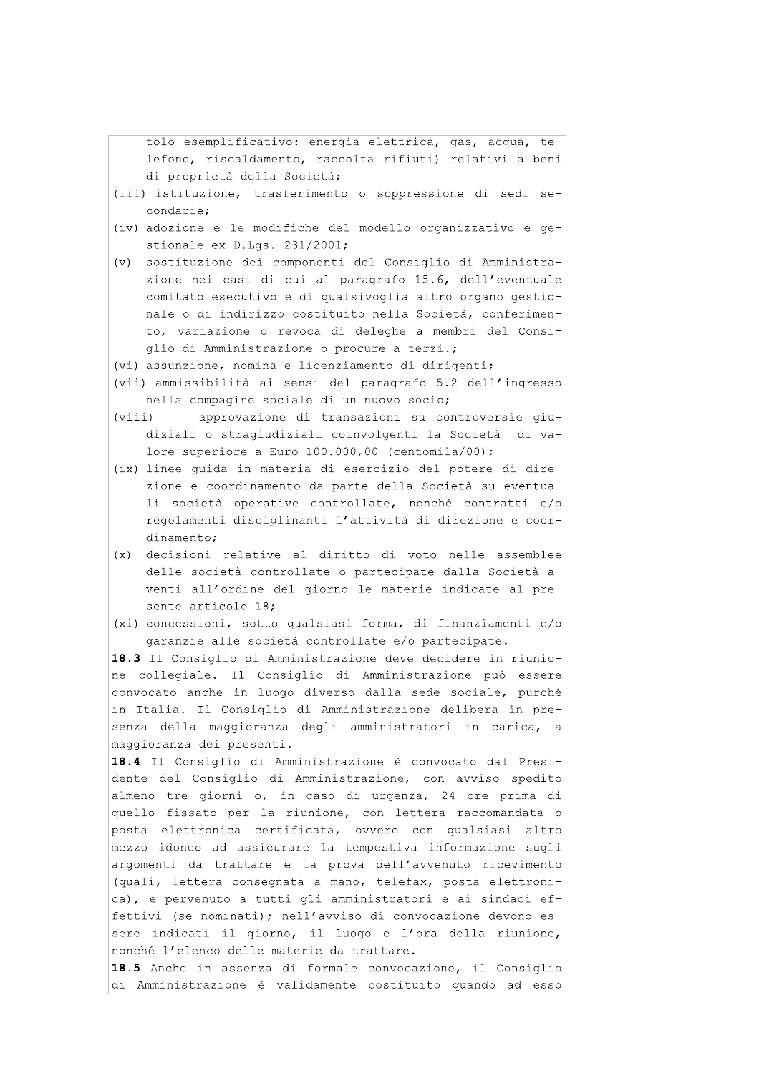tolo esemplificativo: energia elettrica, gas, acqua, telefono, riscaldamento, raccolta rifiuti) relativi a beni di proprietà della Società;

- (iii) istituzione, trasferimento o soppressione di sedi secondarie;
- (iv) adozione e le modifiche del modello organizzativo e gestionale ex D.Lgs. 231/2001;
- (v) sostituzione dei componenti del Consiglio di Amministrazione nei casi di cui al paragrafo 15.6, dell'eventuale comitato esecutivo e di qualsivoglia altro organo gestionale o di indirizzo costituito nella Società, conferimento, variazione o revoca di deleghe a membri del Consiglio di Amministrazione o procure a terzi.;

(vi) assunzione, nomina e licenziamento di dirigenti;

- (vii) ammissibilità ai sensi del paragrafo 5.2 dell'ingresso nella compagine sociale di un nuovo socio;
- approvazione di transazioni su controversie giu- $(viii)$ diziali o stragiudiziali coinvolgenti la Società di valore superiore a Euro  $100.000,00$  (centomila/00);
- (ix) linee quida in materia di esercizio del potere di direzione e coordinamento da parte della Società su eventuali società operative controllate, nonché contratti e/o regolamenti disciplinanti l'attività di direzione e coordinamento;
- (x) decisioni relative al diritto di voto nelle assemblee delle società controllate o partecipate dalla Società aventi all'ordine del giorno le materie indicate al presente articolo 18;
- (xi) concessioni, sotto qualsiasi forma, di finanziamenti e/o garanzie alle società controllate e/o partecipate.

18.3 Il Consiglio di Amministrazione deve decidere in riunione collegiale. Il Consiglio di Amministrazione può essere convocato anche in luogo diverso dalla sede sociale, purché in Italia. Il Consiglio di Amministrazione delibera in presenza della maggioranza degli amministratori in carica, a maggioranza dei presenti.

18.4 Il Consiglio di Amministrazione è convocato dal Presidente del Consiglio di Amministrazione, con avviso spedito almeno tre giorni o, in caso di urgenza, 24 ore prima di quello fissato per la riunione, con lettera raccomandata o posta elettronica certificata, ovvero con qualsiasi altro mezzo idoneo ad assicurare la tempestiva informazione sugli argomenti da trattare e la prova dell'avvenuto ricevimento (quali, lettera consegnata a mano, telefax, posta elettronica), e pervenuto a tutti gli amministratori e ai sindaci effettivi (se nominati); nell'avviso di convocazione devono essere indicati il giorno, il luogo e l'ora della riunione, nonché l'elenco delle materie da trattare.

18.5 Anche in assenza di formale convocazione, il Consiglio di Amministrazione è validamente costituito quando ad esso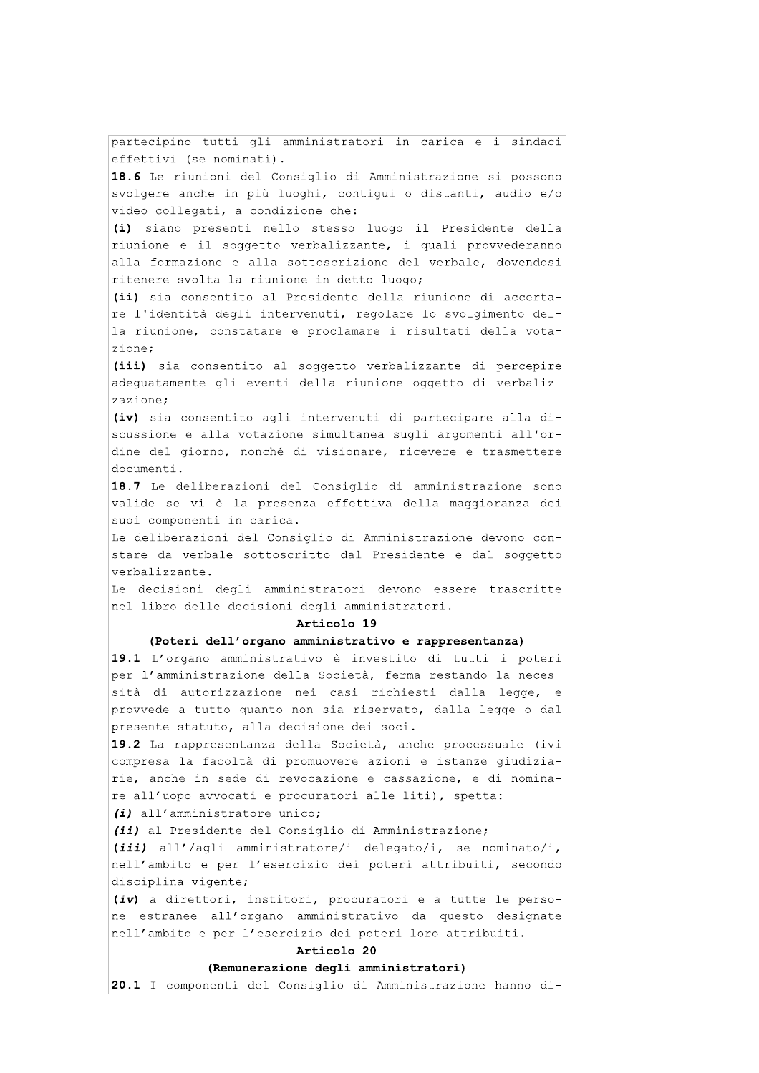partecipino tutti gli amministratori in carica e i sindaci effettivi (se nominati). 18.6 Le riunioni del Consiglio di Amministrazione si possono svolgere anche in più luoghi, contiqui o distanti, audio e/o video collegati, a condizione che: (i) siano presenti nello stesso luogo il Presidente della riunione e il soggetto verbalizzante, i quali provvederanno alla formazione e alla sottoscrizione del verbale, dovendosi ritenere svolta la riunione in detto luogo; (ii) sia consentito al Presidente della riunione di accertare l'identità degli intervenuti, regolare lo svolgimento della riunione, constatare e proclamare i risultati della votazione: (iii) sia consentito al soggetto verbalizzante di percepire adequatamente qli eventi della riunione oqqetto di verbalizzazione; (iv) sia consentito agli intervenuti di partecipare alla discussione e alla votazione simultanea sugli argomenti all'ordine del giorno, nonché di visionare, ricevere e trasmettere documenti. 18.7 Le deliberazioni del Consiglio di amministrazione sono valide se vi è la presenza effettiva della maggioranza dei suoi componenti in carica. Le deliberazioni del Consiglio di Amministrazione devono constare da verbale sottoscritto dal Presidente e dal soggetto verbalizzante. Le decisioni degli amministratori devono essere trascritte nel libro delle decisioni degli amministratori. Articolo 19 (Poteri dell'organo amministrativo e rappresentanza) 19.1 L'organo amministrativo è investito di tutti i poteri per l'amministrazione della Società, ferma restando la necessità di autorizzazione nei casi richiesti dalla legge, e provvede a tutto quanto non sia riservato, dalla legge o dal presente statuto, alla decisione dei soci. 19.2 La rappresentanza della Società, anche processuale (ivi compresa la facoltà di promuovere azioni e istanze giudiziarie, anche in sede di revocazione e cassazione, e di nominare all'uopo avvocati e procuratori alle liti), spetta: (i) all'amministratore unico; (ii) al Presidente del Consiglio di Amministrazione; (iii) all'/aqli amministratore/i delegato/i, se nominato/i, nell'ambito e per l'esercizio dei poteri attribuiti, secondo disciplina vigente; (iv) a direttori, institori, procuratori e a tutte le persone estranee all'organo amministrativo da questo designate nell'ambito e per l'esercizio dei poteri loro attribuiti. Articolo 20 (Remunerazione degli amministratori) 20.1 I componenti del Consiglio di Amministrazione hanno di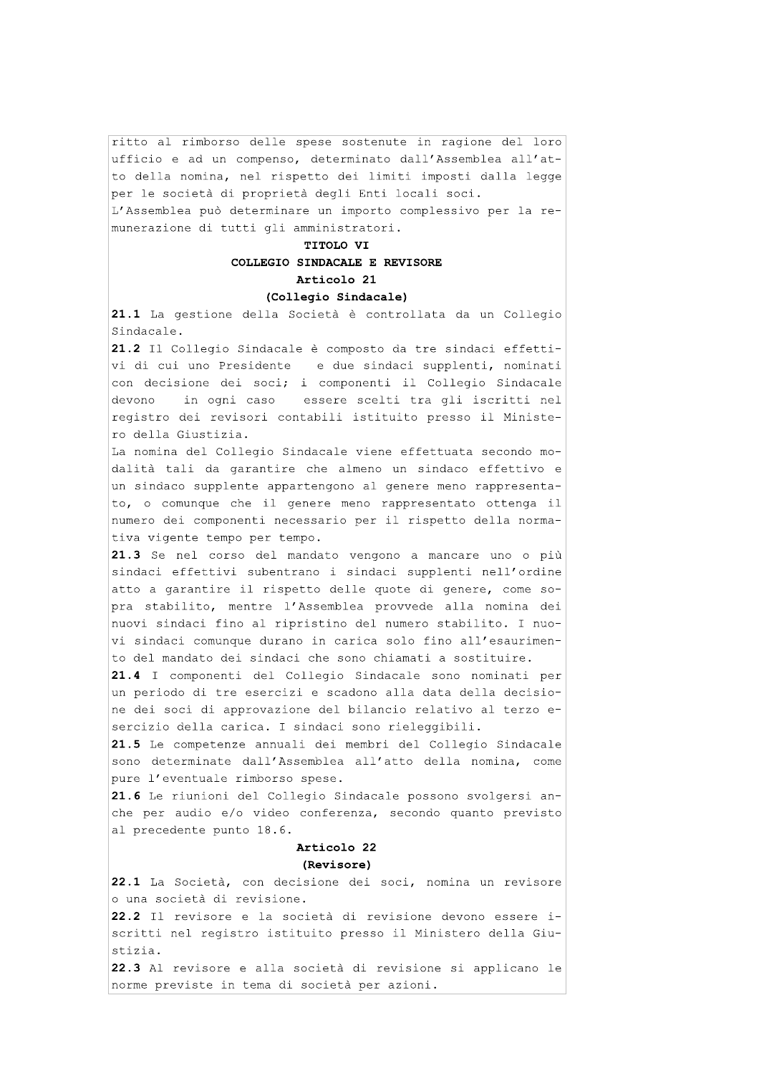ritto al rimborso delle spese sostenute in ragione del loro ufficio e ad un compenso, determinato dall'Assemblea all'atto della nomina, nel rispetto dei limiti imposti dalla legge per le società di proprietà degli Enti locali soci.

L'Assemblea può determinare un importo complessivo per la remunerazione di tutti gli amministratori.

# TITOLO VI COLLEGIO SINDACALE E REVISORE Articolo 21

# (Collegio Sindacale)

21.1 La gestione della Società è controllata da un Collegio Sindacale.

21.2 Il Collegio Sindacale è composto da tre sindaci effettie due sindaci supplenti, nominati vi di cui uno Presidente con decisione dei soci; i componenti il Collegio Sindacale essere scelti tra gli iscritti nel devono in ogni caso registro dei revisori contabili istituito presso il Ministero della Giustizia.

La nomina del Collegio Sindacale viene effettuata secondo modalità tali da garantire che almeno un sindaco effettivo e un sindaco supplente appartengono al genere meno rappresentato, o comunque che il genere meno rappresentato ottenga il numero dei componenti necessario per il rispetto della normativa vigente tempo per tempo.

21.3 Se nel corso del mandato vengono a mancare uno o più sindaci effettivi subentrano i sindaci supplenti nell'ordine atto a garantire il rispetto delle quote di genere, come sopra stabilito, mentre l'Assemblea provvede alla nomina dei nuovi sindaci fino al ripristino del numero stabilito. I nuovi sindaci comunque durano in carica solo fino all'esaurimento del mandato dei sindaci che sono chiamati a sostituire.

21.4 I componenti del Collegio Sindacale sono nominati per un periodo di tre esercizi e scadono alla data della decisione dei soci di approvazione del bilancio relativo al terzo esercizio della carica. I sindaci sono rieleggibili.

21.5 Le competenze annuali dei membri del Collegio Sindacale sono determinate dall'Assemblea all'atto della nomina, come pure l'eventuale rimborso spese.

21.6 Le riunioni del Collegio Sindacale possono svolgersi anche per audio e/o video conferenza, secondo quanto previsto al precedente punto 18.6.

# Articolo 22 (Revisore)

22.1 La Società, con decisione dei soci, nomina un revisore o una società di revisione.

22.2 Il revisore e la società di revisione devono essere iscritti nel registro istituito presso il Ministero della Giustizia.

22.3 Al revisore e alla società di revisione si applicano le norme previste in tema di società per azioni.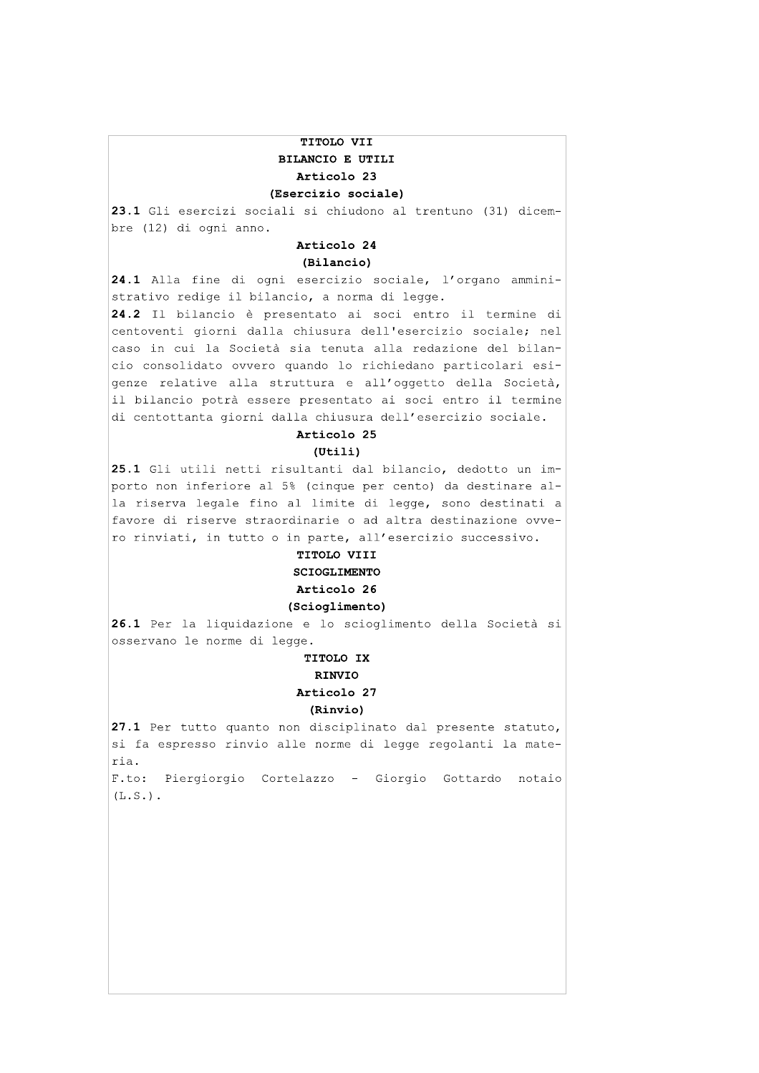# TITOLO VII BILANCIO E UTILI Articolo 23 (Esercizio sociale)

23.1 Gli esercizi sociali si chiudono al trentuno (31) dicembre (12) di ogni anno.

# Articolo 24

(Bilancio)

24.1 Alla fine di ogni esercizio sociale, l'organo amministrativo redige il bilancio, a norma di legge.

24.2 Il bilancio è presentato ai soci entro il termine di centoventi giorni dalla chiusura dell'esercizio sociale; nel caso in cui la Società sia tenuta alla redazione del bilancio consolidato ovvero quando lo richiedano particolari esigenze relative alla struttura e all'oggetto della Società, il bilancio potrà essere presentato ai soci entro il termine di centottanta giorni dalla chiusura dell'esercizio sociale.

# Articolo 25

#### $(Utili)$

25.1 Gli utili netti risultanti dal bilancio, dedotto un importo non inferiore al 5% (cinque per cento) da destinare alla riserva legale fino al limite di legge, sono destinati a favore di riserve straordinarie o ad altra destinazione ovvero rinviati, in tutto o in parte, all'esercizio successivo.

# TITOLO VIII **SCIOGLIMENTO**

# Articolo 26

# (Scioglimento)

26.1 Per la liquidazione e lo scioglimento della Società si osservano le norme di legge.

# TITOLO IX

## RINVIO

# Articolo 27

#### (Rinvio)

27.1 Per tutto quanto non disciplinato dal presente statuto, si fa espresso rinvio alle norme di legge regolanti la materia. F.to: Piergiorgio Cortelazzo - Giorgio Gottardo notaio

 $(L.S.)$ .